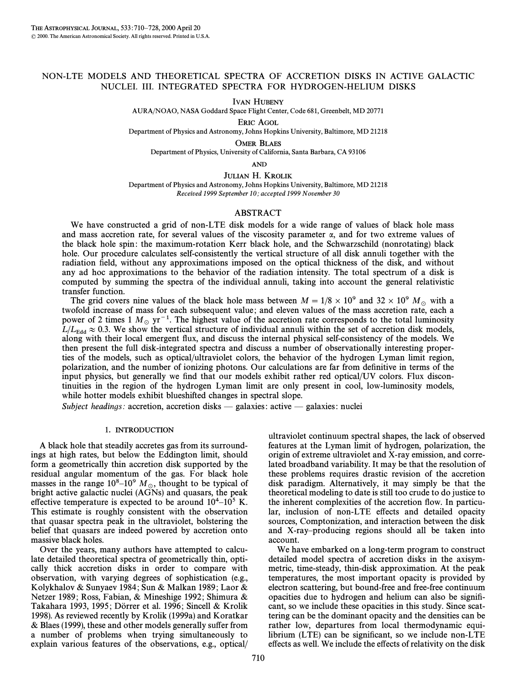# NON-LTE MODELS AND THEORETICAL SPECTRA OF ACCRETION DISKS IN ACTIVE GALACTIC NUCLEI. III. INTEGRATED SPECTRA FOR HYDROGEN-HELIUM DISKS

IVAN HUBENY

AURA/NOAO, NASA Goddard Space Flight Center, Code 681, Greenbelt, MD 20771

ERIC AGOL

Department of Physics and Astronomy, Johns Hopkins University, Baltimore, MD 21218

OMER BLAES

Department of Physics, University of California, Santa Barbara, CA 93106

AND

JULIAN H. KROLIK

Department of Physics and Astronomy, Johns Hopkins University, Baltimore, MD 21218 Received 1999 September 10; accepted 1999 November 30

# ABSTRACT

We have constructed a grid of non-LTE disk models for a wide range of values of black hole mass and mass accretion rate, for several values of the viscosity parameter  $\alpha$ , and for two extreme values of the black hole spin : the maximum-rotation Kerr black hole, and the Schwarzschild (nonrotating) black hole. Our procedure calculates self-consistently the vertical structure of all disk annuli together with the radiation field, without any approximations imposed on the optical thickness of the disk, and without any ad hoc approximations to the behavior of the radiation intensity. The total spectrum of a disk is computed by summing the spectra of the individual annuli, taking into account the general relativistic transfer function.

The grid covers nine values of the black hole mass between  $M = 1/8 \times 10^9$  and  $32 \times 10^9$  M<sub>o</sub> with a twofold increase of mass for each subsequent value; and eleven values of the mass accretion rate, each a power of 2 times 1  $M_{\odot}$  yr<sup>-1</sup>. The highest value of the accretion rate corresponds to the total luminosity  $L/L_{\rm Edd} \approx 0.3$ . We show the vertical structure of individual annuli within the set of accretion disk models, along with their local emergent Ñux, and discuss the internal physical self-consistency of the models. We then present the full disk-integrated spectra and discuss a number of observationally interesting properties of the models, such as optical/ultraviolet colors, the behavior of the hydrogen Lyman limit region, polarization, and the number of ionizing photons. Our calculations are far from definitive in terms of the input physics, but generally we find that our models exhibit rather red optical/UV colors. Flux discontinuities in the region of the hydrogen Lyman limit are only present in cool, low-luminosity models, while hotter models exhibit blueshifted changes in spectral slope.

Subject headings: accretion, accretion disks  $-$  galaxies: active  $-$  galaxies: nuclei

#### 1. INTRODUCTION

A black hole that steadily accretes gas from its surroundings at high rates, but below the Eddington limit, should form a geometrically thin accretion disk supported by the residual angular momentum of the gas. For black hole masses in the range  $10^8$ – $10^9$  M<sub>\oppo</sub>, thought to be typical of bright active galactic nuclei (AGNs) and quasars, the peak effective temperature is expected to be around  $10^4$ – $10^5$  K. This estimate is roughly consistent with the observation that quasar spectra peak in the ultraviolet, bolstering the belief that quasars are indeed powered by accretion onto massive black holes.

Over the years, many authors have attempted to calculate detailed theoretical spectra of geometrically thin, optically thick accretion disks in order to compare with observation, with varying degrees of sophistication (e.g., Kolykhalov & Sunyaev 1984 ; Sun & Malkan 1989 ; Laor & Netzer 1989; Ross, Fabian, & Mineshige 1992; Shimura & Takahara 1993, 1995; Dörrer et al. 1996; Sincell & Krolik 1998). As reviewed recently by Krolik (1999a) and Koratkar  $&$  Blaes (1999), these and other models generally suffer from a number of problems when trying simultaneously to explain various features of the observations, e.g., optical/

ultraviolet continuum spectral shapes, the lack of observed features at the Lyman limit of hydrogen, polarization, the origin of extreme ultraviolet and X-ray emission, and correlated broadband variability. It may be that the resolution of these problems requires drastic revision of the accretion disk paradigm. Alternatively, it may simply be that the theoretical modeling to date is still too crude to do justice to the inherent complexities of the accretion flow. In particular, inclusion of non-LTE effects and detailed opacity sources, Comptonization, and interaction between the disk and X-ray-producing regions should all be taken into account.

We have embarked on a long-term program to construct detailed model spectra of accretion disks in the axisymmetric, time-steady, thin-disk approximation. At the peak temperatures, the most important opacity is provided by electron scattering, but bound-free and free-free continuum opacities due to hydrogen and helium can also be signiÐcant, so we include these opacities in this study. Since scattering can be the dominant opacity and the densities can be rather low, departures from local thermodynamic equilibrium  $(LTE)$  can be significant, so we include non-LTE effects as well. We include the effects of relativity on the disk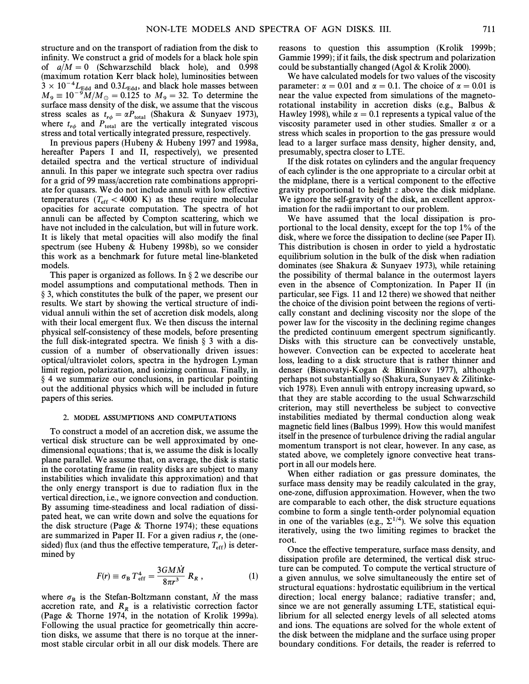structure and on the transport of radiation from the disk to infinity. We construct a grid of models for a black hole spin of  $a/M = 0$  (Schwarzschild black hole), and 0.998 (maximum rotation Kerr black hole), luminosities between  $3 \times 10^{-4} L_{\text{Edd}}$  and  $0.3L_{\text{Edd}}$ , and black hole masses between  $M = 10^{-9} M/M_{\odot} = 0.125$  to  $M_{\odot} = 32$ . To determine the  $M_9 \equiv 10^{-9} M/M_{\odot} = 0.125$  to  $M_9 = 32$ . To determine the 9410 surface mass density of the disk we assume that the viscous surface mass density of the disk, we assume that the viscous stress scales as  $t_{r\phi} = \alpha P_{\text{total}}$  (Shakura & Sunyaev 1973), where  $t_{r\phi}$  and  $P_{\text{total}}$  are the vertically integrated viscous where  $t_{r\phi}$  and  $P_{\text{total}}$  are the vertically integrated viscostress and total vertically integrated pressure, respectively.

In previous papers (Hubeny & Hubeny 1997 and 1998a, hereafter Papers I and II, respectively), we presented detailed spectra and the vertical structure of individual annuli. In this paper we integrate such spectra over radius for a grid of 99 mass/accretion rate combinations appropriate for quasars. We do not include annuli with low effective temperatures  $(T_{\text{eff}} < 4000 \text{ K})$  as these require molecular (The spectra of both connutation). The spectra of both opacities for accurate computation. The spectra of hot annuli can be affected by Compton scattering, which we have not included in the calculation, but will in future work. It is likely that metal opacities will also modify the final spectrum (see Hubeny & Hubeny 1998b), so we consider this work as a benchmark for future metal line-blanketed models.

This paper is organized as follows. In  $\S 2$  we describe our model assumptions and computational methods. Then in ° 3, which constitutes the bulk of the paper, we present our results. We start by showing the vertical structure of individual annuli within the set of accretion disk models, along with their local emergent flux. We then discuss the internal physical self-consistency of these models, before presenting the full disk-integrated spectra. We finish  $\S$  3 with a discussion of a number of observationally driven issues : optical/ultraviolet colors, spectra in the hydrogen Lyman limit region, polarization, and ionizing continua. Finally, in  $§$  4 we summarize our conclusions, in particular pointing out the additional physics which will be included in future papers of this series.

### 2. MODEL ASSUMPTIONS AND COMPUTATIONS

To construct a model of an accretion disk, we assume the vertical disk structure can be well approximated by onedimensional equations ; that is, we assume the disk is locally plane parallel. We assume that, on average, the disk is static in the corotating frame (in reality disks are subject to many instabilities which invalidate this approximation) and that the only energy transport is due to radiation flux in the vertical direction, i.e., we ignore convection and conduction. By assuming time-steadiness and local radiation of dissipated heat, we can write down and solve the equations for the disk structure (Page  $&$  Thorne 1974); these equations are summarized in Paper II. For a given radius  $r$ , the (onesided) flux (and thus the effective temperature,  $T_{\text{eff}}$ ) is deter-<br>mined by mined by

$$
F(r) \equiv \sigma_{\rm B} T_{\rm eff}^4 = \frac{3GM\dot{M}}{8\pi r^3} R_R , \qquad (1)
$$

where  $\sigma_B$  is the Stefan-Boltzmann constant, M the mass<br>accretion rate and R is a relativistic correction factor accretion rate, and  $R_R$  is a relativistic correction factor (Page & Thorne 1974, in the notation of Krolik 1999a). Following the usual practice for geometrically thin accretion disks, we assume that there is no torque at the innermost stable circular orbit in all our disk models. There are reasons to question this assumption (Krolik 1999b; Gammie 1999) ; if it fails, the disk spectrum and polarization could be substantially changed (Agol & Krolik 2000).

We have calculated models for two values of the viscosity parameter:  $\alpha = 0.01$  and  $\alpha = 0.1$ . The choice of  $\alpha = 0.01$  is near the value expected from simulations of the magnetorotational instability in accretion disks (e.g., Balbus & Hawley 1998), while  $\alpha = 0.1$  represents a typical value of the viscosity parameter used in other studies. Smaller  $\alpha$  or a stress which scales in proportion to the gas pressure would lead to a larger surface mass density, higher density, and, presumably, spectra closer to LTE.

If the disk rotates on cylinders and the angular frequency of each cylinder is the one appropriate to a circular orbit at the midplane, there is a vertical component to the effective gravity proportional to height z above the disk midplane. We ignore the self-gravity of the disk, an excellent approximation for the radii important to our problem.

We have assumed that the local dissipation is proportional to the local density, except for the top 1% of the disk, where we force the dissipation to decline (see Paper II). This distribution is chosen in order to yield a hydrostatic equilibrium solution in the bulk of the disk when radiation dominates (see Shakura & Sunyaev 1973), while retaining the possibility of thermal balance in the outermost layers even in the absence of Comptonization. In Paper II (in particular, see Figs. 11 and 12 there) we showed that neither the choice of the division point between the regions of vertically constant and declining viscosity nor the slope of the power law for the viscosity in the declining regime changes the predicted continuum emergent spectrum significantly. Disks with this structure can be convectively unstable, however. Convection can be expected to accelerate heat loss, leading to a disk structure that is rather thinner and denser (Bisnovatyi-Kogan & Blinnikov 1977), although perhaps not substantially so (Shakura, Sunyaev & Zilitinkevich 1978). Even annuli with entropy increasing upward, so that they are stable according to the usual Schwarzschild criterion, may still nevertheless be subject to convective instabilities mediated by thermal conduction along weak magnetic field lines (Balbus 1999). How this would manifest itself in the presence of turbulence driving the radial angular momentum transport is not clear, however. In any case, as stated above, we completely ignore convective heat transport in all our models here.

When either radiation or gas pressure dominates, the surface mass density may be readily calculated in the gray, one-zone, diffusion approximation. However, when the two are comparable to each other, the disk structure equations combine to form a single tenth-order polynomial equation in one of the variables (e.g.,  $\Sigma^{1/4}$ ). We solve this equation iteratively, using the two limiting regimes to bracket the root.

Once the effective temperature, surface mass density, and dissipation profile are determined, the vertical disk structure can be computed. To compute the vertical structure of a given annulus, we solve simultaneously the entire set of structural equations : hydrostatic equilibrium in the vertical direction; local energy balance; radiative transfer; and, since we are not generally assuming LTE, statistical equilibrium for all selected energy levels of all selected atoms and ions. The equations are solved for the whole extent of the disk between the midplane and the surface using proper boundary conditions. For details, the reader is referred to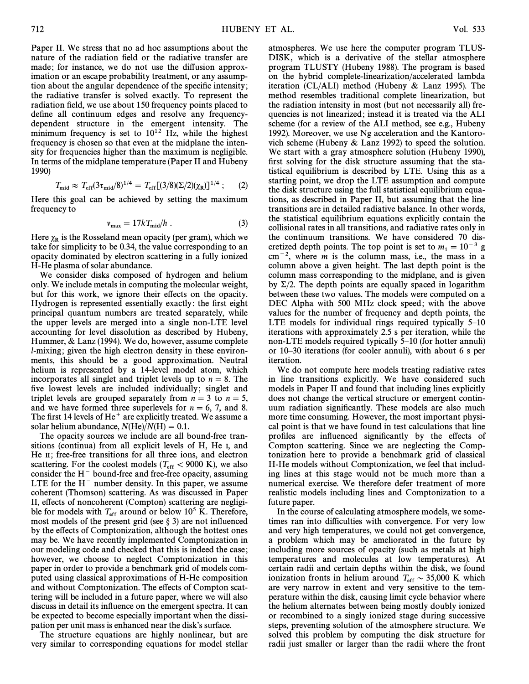Paper II. We stress that no ad hoc assumptions about the nature of the radiation field or the radiative transfer are made; for instance, we do not use the diffusion approximation or an escape probability treatment, or any assumption about the angular dependence of the specific intensity; the radiative transfer is solved exactly. To represent the radiation field, we use about 150 frequency points placed to define all continuum edges and resolve any frequencydependent structure in the emergent intensity. The minimum frequency is set to  $10^{12}$  Hz, while the highest frequency is chosen so that even at the midplane the intensity for frequencies higher than the maximum is negligible. In terms of the midplane temperature (Paper II and Hubeny 1990)

$$
T_{\rm mid} \approx T_{\rm eff} (3\tau_{\rm mid}/8)^{1/4} = T_{\rm eff} [(3/8)(\Sigma/2)(\chi_{\rm R})]^{1/4} \; ; \qquad (2)
$$

Here this goal can be achieved by setting the maximum frequency to

$$
v_{\text{max}} = 17kT_{\text{mid}}/h \tag{3}
$$

Here  $\chi_R$  is the Rosseland mean opacity (per gram), which we take for simplicity to be 0.34, the value corresponding to an opacity dominated by electron scattering in a fully ionized H-He plasma of solar abundance.

We consider disks composed of hydrogen and helium only. We include metals in computing the molecular weight, but for this work, we ignore their effects on the opacity. Hydrogen is represented essentially exactly: the first eight principal quantum numbers are treated separately, while the upper levels are merged into a single non-LTE level accounting for level dissolution as described by Hubeny, Hummer, & Lanz (1994). We do, however, assume complete *l*-mixing; given the high electron density in these environments, this should be a good approximation. Neutral helium is represented by a 14-level model atom, which incorporates all singlet and triplet levels up to  $n = 8$ . The five lowest levels are included individually; singlet and triplet levels are grouped separately from  $n = 3$  to  $n = 5$ , and we have formed three superlevels for  $n = 6, 7$ , and 8. The first 14 levels of  $He<sup>+</sup>$  are explicitly treated. We assume a solar helium abundance,  $N(\text{He})/N(\text{H})=0.1$ .

The opacity sources we include are all bound-free transitions (continua) from all explicit levels of H, He I, and He II; free-free transitions for all three ions, and electron scattering. For the coolest models  $(T_{\text{eff}} < 9000 \text{ K})$ , we also consider the H<sub>-</sub> bound-free and free free onacity assuming consider the  $H^-$  bound-free and free-free opacity, assuming LTE for the  $H^-$  number density. In this paper, we assume coherent (Thomson) scattering. As was discussed in Paper II, effects of noncoherent (Compton) scattering are negligible for models with  $T_{\text{eff}}$  around or below 10<sup>5</sup> K. Therefore, most models of the present grid (see § 3) are not influenced by the effects of Comptonization, although the hottest ones may be. We have recently implemented Comptonization in our modeling code and checked that this is indeed the case ; however, we choose to neglect Comptonization in this paper in order to provide a benchmark grid of models computed using classical approximations of H-He composition and without Comptonization. The effects of Compton scattering will be included in a future paper, where we will also discuss in detail its influence on the emergent spectra. It can be expected to become especially important when the dissipation per unit mass is enhanced near the disk's surface.

The structure equations are highly nonlinear, but are very similar to corresponding equations for model stellar

atmospheres. We use here the computer program TLUS-DISK, which is a derivative of the stellar atmosphere program TLUSTY (Hubeny 1988). The program is based on the hybrid complete-linearization/accelerated lambda iteration (CL/ALI) method (Hubeny & Lanz 1995). The method resembles traditional complete linearization, but the radiation intensity in most (but not necessarily all) frequencies is not linearized; instead it is treated via the ALI scheme (for a review of the ALI method, see e.g., Hubeny 1992). Moreover, we use Ng acceleration and the Kantorovich scheme (Hubeny & Lanz 1992) to speed the solution. We start with a gray atmosphere solution (Hubeny 1990), first solving for the disk structure assuming that the statistical equilibrium is described by LTE. Using this as a starting point, we drop the LTE assumption and compute the disk structure using the full statistical equilibrium equations, as described in Paper II, but assuming that the line transitions are in detailed radiative balance. In other words, the statistical equilibrium equations explicitly contain the collisional rates in all transitions, and radiative rates only in the continuum transitions. We have considered 70 discretized depth points. The top point is set to  $m_1 = 10^{-3}$  g  $cm^{-2}$ , where *m* is the column mass, i.e., the mass in a column above a given height. The last depth point is the column mass corresponding to the midplane, and is given by  $\Sigma/2$ . The depth points are equally spaced in logarithm between these two values. The models were computed on a DEC Alpha with 500 MHz clock speed; with the above values for the number of frequency and depth points, the LTE models for individual rings required typically  $5-10$ iterations with approximately 2.5 s per iteration, while the non-LTE models required typically 5–10 (for hotter annuli) or 10–30 iterations (for cooler annuli), with about 6 s per iteration.

We do not compute here models treating radiative rates in line transitions explicitly. We have considered such models in Paper II and found that including lines explicitly does not change the vertical structure or emergent continuum radiation significantly. These models are also much more time consuming. However, the most important physical point is that we have found in test calculations that line profiles are influenced significantly by the effects of Compton scattering. Since we are neglecting the Comptonization here to provide a benchmark grid of classical H-He models without Comptonization, we feel that including lines at this stage would not be much more than a numerical exercise. We therefore defer treatment of more realistic models including lines and Comptonization to a future paper.

In the course of calculating atmosphere models, we sometimes ran into difficulties with convergence. For very low and very high temperatures, we could not get convergence, a problem which may be ameliorated in the future by including more sources of opacity (such as metals at high temperatures and molecules at low temperatures). At certain radii and certain depths within the disk, we found ionization fronts in helium around  $T_{\text{eff}} \sim 35,000 \text{ K}$  which the term are very narrow in extent and very sensitive to the temperature within the disk, causing limit cycle behavior where the helium alternates between being mostly doubly ionized or recombined to a singly ionized stage during successive steps, preventing solution of the atmosphere structure. We solved this problem by computing the disk structure for radii just smaller or larger than the radii where the front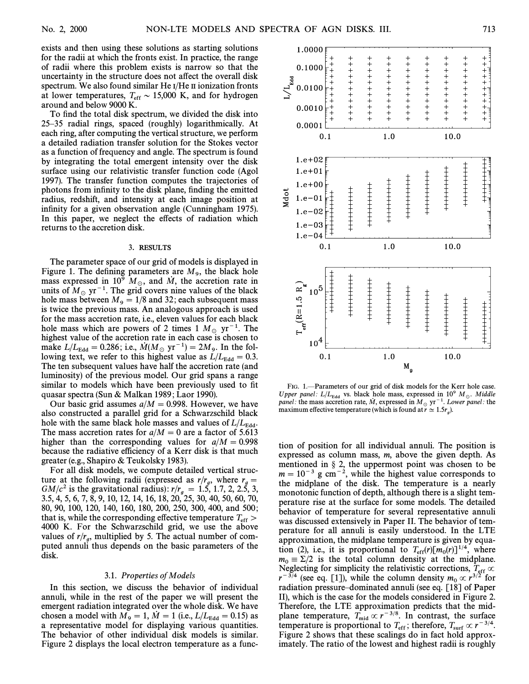exists and then using these solutions as starting solutions for the radii at which the fronts exist. In practice, the range of radii where this problem exists is narrow so that the uncertainty in the structure does not affect the overall disk spectrum. We also found similar He I/He II ionization fronts at lower temperatures,  $T_{\text{eff}} \sim 15,000 \text{ K}$ , and for hydrogen around and below 0000 K around and below 9000 K.

To find the total disk spectrum, we divided the disk into 25-35 radial rings, spaced (roughly) logarithmically. At each ring, after computing the vertical structure, we perform a detailed radiation transfer solution for the Stokes vector as a function of frequency and angle. The spectrum is found by integrating the total emergent intensity over the disk surface using our relativistic transfer function code (Agol 1997). The transfer function computes the trajectories of photons from infinity to the disk plane, finding the emitted radius, redshift, and intensity at each image position at infinity for a given observation angle (Cunningham 1975). In this paper, we neglect the effects of radiation which returns to the accretion disk.

## 3. RESULTS

The parameter space of our grid of models is displayed in Figure 1. The defining parameters are  $M_9$ , the black hole mass expressed in  $10^9$  M and M the accretion rate in mass expressed in  $10^9$   $M_{\odot}$ , and  $\dot{M}$ , the accretion rate in units of  $M_{\rm w}$   $^{-1}$ . The grid covers nine values of the block units of  $M_{\odot}$  yr<sup>-1</sup>. The grid covers nine values of the black hole mass between  $M<sub>9</sub> = 1/8$  and 32; each subsequent mass is twice the previous mass. An analogous approach is used for the mass accretion rate, i.e., eleven values for each black hole mass which are powers of 2 times 1  $M_{\odot}$  yr<sup>-1</sup>. The highest value of the accretion rate in each case is chosen to make  $L/L_{\rm Edd} = 0.286$ ; i.e.,  $\dot{M} (M_\odot \text{ yr}^{-1}) = 2M_\odot$ . In the fol-<br>lowing text, we refer to this bighest value as  $L/L = 0.3$ . lowing text, we refer to this highest value as  $L/L_{\rm Edd} = 0.3$ . The ten subsequent values have half the accretion rate (and luminosity) of the previous model. Our grid spans a range similar to models which have been previously used to fit quasar spectra (Sun & Malkan 1989 ; Laor 1990).

Our basic grid assumes  $a/M = 0.998$ . However, we have also constructed a parallel grid for a Schwarzschild black hole with the same black hole masses and values of  $L/L_{\rm Edd}$ . The mass accretion rates for  $a/M = 0$  are a factor of 5.613 higher than the corresponding values for  $a/M = 0.998$ because the radiative efficiency of a Kerr disk is that much greater (e.g., Shapiro & Teukolsky 1983).

For all disk models, we compute detailed vertical structure at the following radii (expressed as  $r/r_a$ , where  $r_a =$ g g GM/c<sup>2</sup> is the gravitational radius) : <sup>r</sup>/<sup>r</sup> \ 1.5, 1.7, 2, 2.5, 3, <sup>g</sup> 3.5, 4, 5, 6, 7, 8, 9, 10, 12, 14, 16, 18, 20, 25, 30, 40, 50, 60, 70, 80, 90, 100, 120, 140, 160, 180, 200, 250, 300, 400, and 500 ; that is, while the corresponding effective temperature  $T_{\text{eff}} >$ <br>4000 K. For the Schwarzschild grid, we use the above 4000 K. For the Schwarzschild grid, we use the above values of  $r/r_a$ , multiplied by 5. The actual number of computed annuli thus depends on the basic parameters of the disk.

#### 3.1. Properties of Models

In this section, we discuss the behavior of individual annuli, while in the rest of the paper we will present the emergent radiation integrated over the whole disk. We have chosen a model with  $M_9 = 1$ ,  $\dot{M} = 1$  (i.e.,  $L / L_{\text{Edd}} = 0.15$ ) as a representative model for displaying various quantities. The behavior of other individual disk models is similar. Figure 2 displays the local electron temperature as a func-



FIG. 1.—Parameters of our grid of disk models for the Kerr hole case. Upper panel:  $L/L_{\rm Edd}$  vs. black hole mass, expressed in 10<sup>9</sup> M<sub>o</sub>. Middle panel: the mass accretion rate, M, expressed in  $M_{\odot}$  yr<sup>-1</sup>. Lower panel: the g ).

tion of position for all individual annuli. The position is expressed as column mass, m, above the given depth. As mentioned in  $\S$  2, the uppermost point was chosen to be  $m = 10^{-3}$  g cm<sup>-2</sup>, while the highest value corresponds to the midplane of the disk. The temperature is a nearly monotonic function of depth, although there is a slight temperature rise at the surface for some models. The detailed behavior of temperature for several representative annuli was discussed extensively in Paper II. The behavior of temperature for all annuli is easily understood. In the LTE approximation, the midplane temperature is given by equation (2), i.e., it is proportional to  $T_{\text{eff}}(r)[m_0(r)]^{1/4}$ , where  $m = \sum_{i=1}^{n} n_i$  is the total column density at the midplane  $m_0 \equiv \Sigma/2$  is the total column density at the midplane. Neglecting for simplicity the relativistic corrections,  $T_{\text{eff}} \propto r^{-3/4}$  (see eq. [1]), while the column density  $m \propto r^{3/2}$  for  $r^{-3/4}$  (see eq. [1]), while the column density  $m_0 \propto r^{3/2}$  for move radiation pressure dominated appuli (see eq. [18] of Paper radiation pressure-dominated annuli (see eq. [18] of Paper II), which is the case for the models considered in Figure 2. Therefore, the LTE approximation predicts that the midplane temperature,  $T_{mid} \propto r^{-3/8}$ . In contrast, the surface<br>temperature is proportional to  $T_{\text{c}}$  is therefore  $T_{\text{c}} \propto r^{-3/4}$ . temperature is proportional to  $T_{\text{eff}}$ ; therefore,  $T_{\text{surf}} \propto r^{-3/4}$ .<br>Figure 2 shows that these scalings do in fact hold approx. Figure 2 shows that these scalings do in fact hold approximately. The ratio of the lowest and highest radii is roughly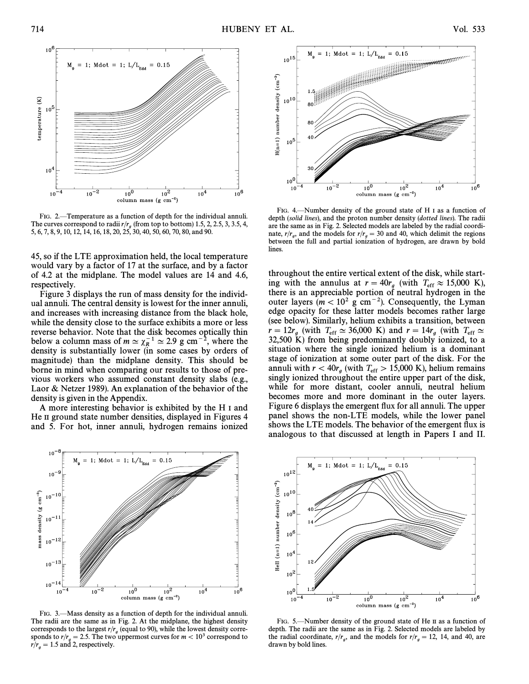

FIG. 2.—Temperature as a function of depth for the individual annuli. The curves correspond to radii  $r/r<sub>g</sub>$  (from top to bottom) 1.5, 2, 2.5, 3, 3.5, 4, 5, 6, 7, 8, 9, 10, 12, 14, 16, 18, 20, 25, 30, 40, 50, 60, 70, 80, and 90.

45, so if the LTE approximation held, the local temperature would vary by a factor of 17 at the surface, and by a factor of 4.2 at the midplane. The model values are 14 and 4.6, respectively.

Figure 3 displays the run of mass density for the individual annuli. The central density is lowest for the inner annuli, and increases with increasing distance from the black hole, while the density close to the surface exhibits a more or less reverse behavior. Note that the disk becomes optically thin below a column mass of  $m \approx \chi_R^{-1} \approx 2.9$  g cm<sup>-2</sup>, where the Report is substantially lower (in some cases by orders of density is substantially lower (in some cases by orders of magnitude) than the midplane density. This should be borne in mind when comparing our results to those of previous workers who assumed constant density slabs (e.g., Laor & Netzer 1989). An explanation of the behavior of the density is given in the Appendix.

A more interesting behavior is exhibited by the H I and He II ground state number densities, displayed in Figures 4 and 5. For hot, inner annuli, hydrogen remains ionized



FIG. 3.—Mass density as a function of depth for the individual annuli. The radii are the same as in Fig. 2. At the midplane, the highest density corresponds to the largest  $r/r<sub>g</sub>$  (equal to 90), while the lowest density corregronds to  $r/g = 2.5$ . The two uppermost curves for  $m < 10^3$  correspond to  $r/g = 1.5$  and 2 respectively  $r/r_g = 1.5$  and 2, respectively.



FIG. 4.  $\rightarrow$  Number density of the ground state of H I as a function of depth (solid lines), and the proton number density (dotted lines). The radii are the same as in Fig. 2. Selected models are labeled by the radial coordinate,  $r/r_a$ , and the models for  $r/r_a = 30$  and 40, which delimit the regions between the full and partial ionization of hydrogen, are drawn by bold lines.

throughout the entire vertical extent of the disk, while starting with the annulus at  $r = 40r_g$  (with  $T_{\text{eff}} \approx 15,000 \text{ K}$ ), there is an annual beginning of neutral bydrogen in the there is an appreciable portion of neutral hydrogen in the outer layers  $(m < 10^2 \text{ g cm}^{-2})$ . Consequently, the Lyman edge opacity for these latter models becomes rather large (see below). Similarly, helium exhibits a transition, between  $r = 12r_g$  (with  $T_{\text{eff}} \simeq 36,000 \text{ K}$ ) and  $r = 14r_g$  (with  $T_{\text{eff}} \simeq$ <br>22.500 K) from being predominantly doubly ionized to a 32,500 K) from being predominantly doubly ionized, to a situation where the single ionized helium is a dominant stage of ionization at some outer part of the disk. For the annuli with  $r < 40r_g$  (with  $T_{\text{eff}} > 15,000$  K), helium remains reported throughout the entire upper part of the disk singly ionized throughout the entire upper part of the disk, while for more distant, cooler annuli, neutral helium becomes more and more dominant in the outer layers. Figure 6 displays the emergent flux for all annuli. The upper panel shows the non-LTE models, while the lower panel shows the LTE models. The behavior of the emergent flux is analogous to that discussed at length in Papers I and II.



FIG. 5.—Number density of the ground state of He II as a function of depth. The radii are the same as in Fig. 2. Selected models are labeled by the radial coordinate,  $r/r_g$ , and the models for  $r/r_g = 12$ , 14, and 40, are drawn by hold lines drawn by bold lines.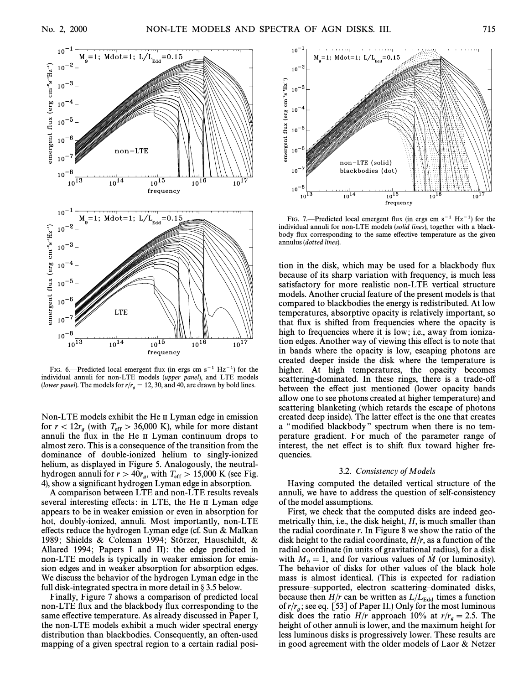

FIG. 6.—Predicted local emergent flux (in ergs cm  $s^{-1}$  Hz<sup>-1</sup>) for the individual annuli for non-LTE models (upper panel), and LTE models (lower panel). The models for  $r/r_g = 12, 30$ , and 40, are drawn by bold lines.

Non-LTE models exhibit the He II Lyman edge in emission for  $r < 12r_g$  (with  $T_{\text{eff}} > 36,000 \text{ K}$ ), while for more distant range of  $r > 36,000 \text{ K}$ ), while for more distant annuli the flux in the He II Lyman continuum drops to almost zero. This is a consequence of the transition from the dominance of double-ionized helium to singly-ionized helium, as displayed in Figure 5. Analogously, the neutralhydrogen annuli for  $r > 40r_g$ , with  $T_{\text{eff}} > 15,000$  K (see Fig. *A*) show a significant hydrogen I yman edge in absorption 4), show a significant hydrogen Lyman edge in absorption.

A comparison between LTE and non-LTE results reveals several interesting effects: in LTE, the He II Lyman edge appears to be in weaker emission or even in absorption for hot, doubly-ionized, annuli. Most importantly, non-LTE effects reduce the hydrogen Lyman edge (cf. Sun  $&$  Malkan 1989; Shields & Coleman 1994; Störzer, Hauschildt, & Allared 1994; Papers I and II): the edge predicted in non-LTE models is typically in weaker emission for emission edges and in weaker absorption for absorption edges. We discuss the behavior of the hydrogen Lyman edge in the full disk-integrated spectra in more detail in  $\S 3.5$  below.

Finally, Figure 7 shows a comparison of predicted local non-LTE flux and the blackbody flux corresponding to the same effective temperature. As already discussed in Paper I, the non-LTE models exhibit a much wider spectral energy distribution than blackbodies. Consequently, an often-used mapping of a given spectral region to a certain radial posi-



FIG. 7.—Predicted local emergent flux (in ergs cm  $s^{-1}$  Hz<sup>-1</sup>) for the individual annuli for non-LTE models (solid lines), together with a blackbody flux corresponding to the same effective temperature as the given annulus (dotted lines).

tion in the disk, which may be used for a blackbody flux because of its sharp variation with frequency, is much less satisfactory for more realistic non-LTE vertical structure models. Another crucial feature of the present models is that compared to blackbodies the energy is redistributed. At low temperatures, absorptive opacity is relatively important, so that flux is shifted from frequencies where the opacity is high to frequencies where it is low; i.e., away from ionization edges. Another way of viewing this e†ect is to note that in bands where the opacity is low, escaping photons are created deeper inside the disk where the temperature is higher. At high temperatures, the opacity becomes scattering-dominated. In these rings, there is a trade-off between the effect just mentioned (lower opacity bands allow one to see photons created at higher temperature) and scattering blanketing (which retards the escape of photons created deep inside). The latter effect is the one that creates a "modified blackbody" spectrum when there is no temperature gradient. For much of the parameter range of interest, the net effect is to shift flux toward higher frequencies.

#### 3.2. Consistency of Models

Having computed the detailed vertical structure of the annuli, we have to address the question of self-consistency of the model assumptions.

First, we check that the computed disks are indeed geometrically thin, i.e., the disk height,  $H$ , is much smaller than the radial coordinate  $r$ . In Figure 8 we show the ratio of the disk height to the radial coordinate,  $H/r$ , as a function of the radial coordinate (in units of gravitational radius), for a disk with  $M<sub>9</sub> = 1$ , and for various values of  $\dot{M}$  (or luminosity). The behavior of disks for other values of the black hole mass is almost identical. (This is expected for radiation pressure–supported, electron scattering–dominated disks, because then  $H/r$  can be written as  $L / L_{\text{Edd}}$  times a function disk does the ratio  $H/r$  approach 10% at  $r/r_a = 2.5$ . The of  $r/r_a$ ; see eq. [53] of Paper II.) Only for the most luminous height of other annuli is lower, and the maximum height for less luminous disks is progressively lower. These results are in good agreement with the older models of Laor & Netzer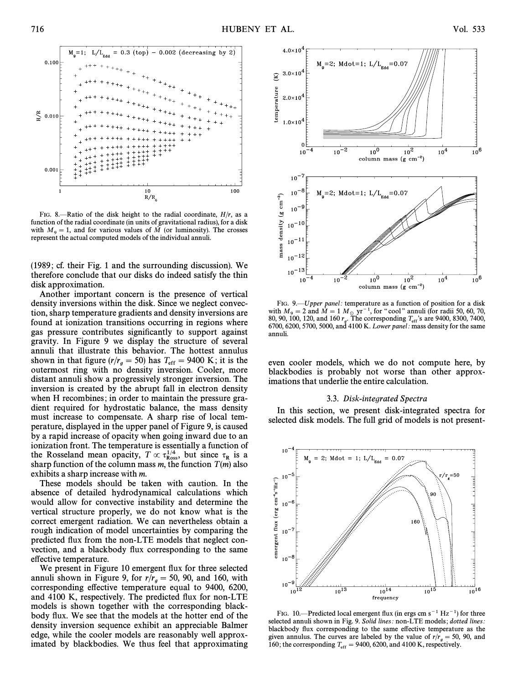

FIG. 8.—Ratio of the disk height to the radial coordinate,  $H/r$ , as a function of the radial coordinate (in units of gravitational radius), for a disk with  $M_9 = 1$ , and for various values of  $\dot{M}$  (or luminosity). The crosses represent the actual computed models of the individual annuli represent the actual computed models of the individual annuli.

(1989 ; cf. their Fig. 1 and the surrounding discussion). We therefore conclude that our disks do indeed satisfy the thin disk approximation.

Another important concern is the presence of vertical density inversions within the disk. Since we neglect convection, sharp temperature gradients and density inversions are found at ionization transitions occurring in regions where gas pressure contributes significantly to support against gravity. In Figure 9 we display the structure of several annuli that illustrate this behavior. The hottest annulus shown in that figure  $(r/r_g = 50)$  has  $T_{\text{eff}} = 9400 \text{ K}$ ; it is the externest ring with no density inversion. Cooler more shown in that ngare  $\langle v_i v_g - 55 \rangle$  has  $r_{\text{eff}} - 5.65$  K; it is the outermost ring with no density inversion. Cooler, more distant annuli show a progressively stronger inversion. The inversion is created by the abrupt fall in electron density when H recombines; in order to maintain the pressure gradient required for hydrostatic balance, the mass density must increase to compensate. A sharp rise of local temperature, displayed in the upper panel of Figure 9, is caused by a rapid increase of opacity when going inward due to an ionization front. The temperature is essentially a function of the Rosseland mean opacity,  $T \propto \tau_{\rm Ross}^{1/4}$ , but since  $\tau_{\rm R}$  is a sharp function of the column mass m the function  $T(m)$  also sharp function of the column mass m, the function  $T(m)$  also exhibits a sharp increase with m.

These models should be taken with caution. In the absence of detailed hydrodynamical calculations which would allow for convective instability and determine the vertical structure properly, we do not know what is the correct emergent radiation. We can nevertheless obtain a rough indication of model uncertainties by comparing the predicted Ñux from the non-LTE models that neglect convection, and a blackbody flux corresponding to the same effective temperature.

We present in Figure 10 emergent flux for three selected annuli shown in Figure 9, for  $r/r_g = 50, 90,$  and 160, with corresponding effective temperature equal to 9400, 6200 corresponding effective temperature equal to 9400, 6200, and 4100 K, respectively. The predicted Ñux for non-LTE models is shown together with the corresponding blackbody flux. We see that the models at the hotter end of the density inversion sequence exhibit an appreciable Balmer edge, while the cooler models are reasonably well approximated by blackbodies. We thus feel that approximating



FIG. 9.—Upper panel: temperature as a function of position for a disk with  $M<sub>9</sub> = 2$  and  $\dot{M} = 1 M<sub>o</sub>$  yr<sup>-1</sup>, for "cool" annuli (for radii 50, 60, 70, with  $M_9 = 2$  and  $\dot{M} = 1 M_{\odot}$  yr<sup>-1</sup>, for "cool" annuli (for radii 50, 60, 70, 80, 90, 100, 120, and 160  $r_g$ . The corresponding  $T_{\rm eff}$ 's are 9400, 8300, 7400, 6700, 6700, 6700, 900, and 4100 K. *L* ower nanel: mas  $6700, 6200, 5700, 5000,$  and  $4100$  K. Lower panel: mass density for the same annuli.

even cooler models, which we do not compute here, by blackbodies is probably not worse than other approximations that underlie the entire calculation.

### 3.3. Disk-integrated Spectra

In this section, we present disk-integrated spectra for selected disk models. The full grid of models is not present-



FIG. 10.—Predicted local emergent flux (in ergs cm  $s^{-1}$  Hz<sup>-1</sup>) for three selected annuli shown in Fig. 9. Solid lines: non-LTE models; dotted lines: blackbody flux corresponding to the same effective temperature as the given annulus. The curves are labeled by the value of  $r/r_a = 50$ , 90, and 160; the corresponding  $T_{\text{eff}} = 9400, 6200, \text{ and } 4100 \text{ K}$ , respectively.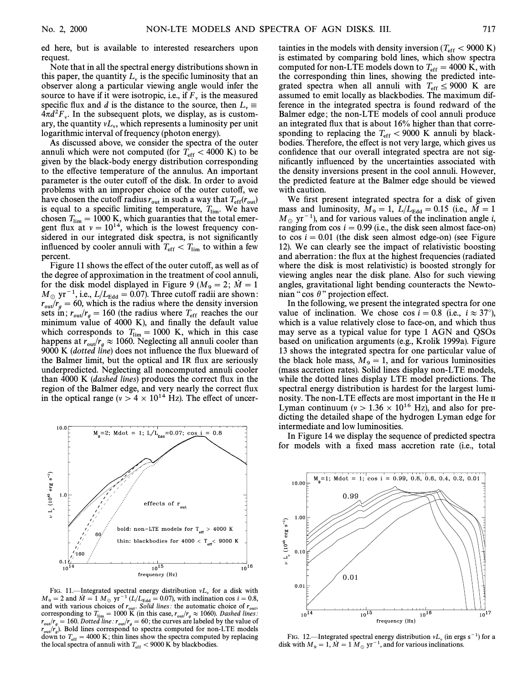ed here, but is available to interested researchers upon request.

Note that in all the spectral energy distributions shown in this paper, the quantity  $L<sub>v</sub>$  is the specific luminosity that an observer along a particular viewing angle would infer the source to have if it were isotropic, i.e., if  $F_v$  is the measured specific flux and d is the distance to the source, then  $L_v \equiv 4\pi d^2F$ . In the subsequent plots we display as is custom- $4\pi d^2 F_v$ . In the subsequent plots, we display, as is custom-<br>ary the quantity  $vI$ , which represents a luminosity per unit ary, the quantity  $vL_v$ , which represents a luminosity per unit logarithmic interval of frequency (photon energy) logarithmic interval of frequency (photon energy).

As discussed above, we consider the spectra of the outer annuli which were not computed (for  $T_{\text{eff}} < 4000 \text{ K}$ ) to be  $\alpha$  and the plack-body energy distribution corresponding given by the black-body energy distribution corresponding to the effective temperature of the annulus. An important parameter is the outer cutoff of the disk. In order to avoid problems with an improper choice of the outer cutoff, we have chosen the cutoff radius  $r_{\text{out}}$  in such a way that  $T_{\text{eff}}(r_{\text{out}})$ <br>is equal to a specific limiting temperature  $T_{\text{out}}$  We have is equal to a specific limiting temperature,  $T_{\text{lim}}$ . We have chosen  $T_{\text{lim}} = 1000 \text{ K}$  which quaranties that the total emerchosen  $T_{\text{lim}} = 1000 \text{ K}$ , which guaranties that the total emergent flux at  $v = 10^{14}$ , which is the lowest frequency considered in our integrated disk spectra, is not significantly influenced by cooler annuli with  $T_{\text{eff}} < T_{\text{lim}}$  to within a few percent.

Figure 11 shows the effect of the outer cutoff, as well as of the degree of approximation in the treatment of cool annuli, for the disk model displayed in Figure 9 ( $M<sub>9</sub> = 2$ ;  $\dot{M} = 1$  $M_{\odot}$  yr<sup>-1</sup>, i.e.,  $L/L_{\rm Edd} = 0.07$ ). Three cutoff radii are shown:<br> $L_{\rm L} = 60$ , which is the radius where the density inversion  $r_{\text{out}}/r_g = 60$ , which is the radius where the density inversion<br>sets in  $r_{\text{out}}/r_f = 160$  (the radius where T, reaches the out sets in;  $r_{\text{out}}/r_g = 160$  (the radius where  $T_{\text{eff}}$  reaches the our minimum value of 4000 K), and finally the default value which corresponds to  $T_{\text{lim}} = 1000$  K, which in this case<br>happens at  $r_{\text{out}}/r_g \approx 1060$ . Neglecting all annuli cooler than<br>9000 K (datted line) does not influence the flux blueward of  $\frac{1}{2}$  (dotted line) does not influence the flux blueward of the Balmer limit, but the optical and IR flux are seriously underpredicted. Neglecting all noncomputed annuli cooler than 4000 K (dashed lines) produces the correct flux in the region of the Balmer edge, and very nearly the correct flux in the optical range ( $v > 4 \times 10^{14}$  Hz). The effect of uncer-



FIG. 11.—Integrated spectral energy distribution  $vL_v$  for a disk with  $M_9 = 2$  and  $\dot{M} = 1 M_{\odot} \text{ yr}^{-1} (L/L_{\text{Edd}} = 0.07)$ , with inclination cos  $i = 0.8$ , and with various choices of r. Solid lines; the automatic choic and with various choices of  $r_{\text{out}}$ . Solid lines: the automatic choice of  $r_{\text{out}}$ , corresponding to  $T_{\text{out}} = 1000 \text{ K}$  (in this case  $r_{\text{out}}/r \approx 1060$ ). Dashed lines: corresponding to  $T_{\text{lim}} = 1000 \text{ K}$  (in this case,  $r_{\text{out}}/r_g \approx 1060$ ). Dashed lines:<br> $r_{\text{out}}/r_g = 160 \text{ Dotted line}$ ;  $r_{\text{in}} = 60$ ; the curves are labeled by the value of  $r_{\text{out}}/r_g = 160$ . Dotted line:  $r_{\text{out}}/r_g = 60$ ; the curves are labeled by the value of  $r_{\text{out}}/r_g = 160$ . Dotted in example of  $r_{\text{out}}/r_g = 160$ .  $r_{\text{out}}/r_g$ ). Bold lines correspond to spectra computed for non-LTE models down to  $T_{\text{out}} = 4000 \text{ K}$ ; this lines show the spectra computed by replacing down to  $T_{\text{eff}} = 4000 \text{ K}$ ; thin lines show the spectra computed by replacing the local spectra of annuli with  $T_{\text{eff}} > 0000 \text{ K}$  by blockhodies the local spectra of annuli with  $T_{\rm eff}$  < 9000 K by blackbodies.

tainties in the models with density inversion  $(T_{\text{eff}} < 9000 \text{ K})$ <br>is estimated by comparing bold lines, which show spectral is estimated by comparing bold lines, which show spectra computed for non-LTE models down to  $T_{\text{eff}} = 4000 \text{ K}$ , with the corresponding thin lines, showing the predicted intethe corresponding thin lines, showing the predicted integrated spectra when all annuli with  $T_{\text{eff}} \leq 9000$  K are assumed to emit locally as blackbodies. The maximum difassumed to emit locally as blackbodies. The maximum difference in the integrated spectra is found redward of the Balmer edge; the non-LTE models of cool annuli produce an integrated flux that is about 16% higher than that corresponding to replacing the  $T_{\text{eff}} < 9000 \text{ K}$  annuli by black-<br>hodies Therefore the effect is not very large which gives us bodies. Therefore, the effect is not very large, which gives us confidence that our overall integrated spectra are not significantly influenced by the uncertainties associated with the density inversions present in the cool annuli. However, the predicted feature at the Balmer edge should be viewed with caution.

We first present integrated spectra for a disk of given mass and luminosity,  $M_9 = 1$ ,  $L / L_{\rm Edd} = 0.15$  (i.e.,  $\dot{M} = 1$ )  $M_{\odot}$  yr<sup>-1</sup>), and for various values of the inclination angle *i*, ranging from  $\cos i = 0.99$  (i.e., the disk seen almost face-on) to  $\cos i = 0.01$  (the disk seen almost edge-on) (see Figure 12). We can clearly see the impact of relativistic boosting and aberration: the flux at the highest frequencies (radiated where the disk is most relativistic) is boosted strongly for viewing angles near the disk plane. Also for such viewing angles, gravitational light bending counteracts the Newtonian "cos  $\theta$ " projection effect.

In the following, we present the integrated spectra for one value of inclination. We chose cos  $i=0.8$  (i.e.,  $i\approx 37^{\circ}$ ), which is a value relatively close to face-on, and which thus may serve as a typical value for type 1 AGN and QSOs based on unification arguments (e.g., Krolik 1999a). Figure 13 shows the integrated spectra for one particular value of the black hole mass,  $M_9 = 1$ , and for various luminosities (mass accretion rates). Solid lines display non-LTE models, while the dotted lines display LTE model predictions. The spectral energy distribution is hardest for the largest luminosity. The non-LTE effects are most important in the He II Lyman continuum ( $v > 1.36 \times 10^{16}$  Hz), and also for predicting the detailed shape of the hydrogen Lyman edge for intermediate and low luminosities.

In Figure 14 we display the sequence of predicted spectra for models with a fixed mass accretion rate (i.e., total



FIG. 12.—Integrated spectral energy distribution  $vL_v$  (in ergs s<sup>-1</sup>) for a disk with  $M_9 = 1$ ,  $\dot{M} = 1 M_{\odot}$  yr<sup>-1</sup>, and for various inclinations.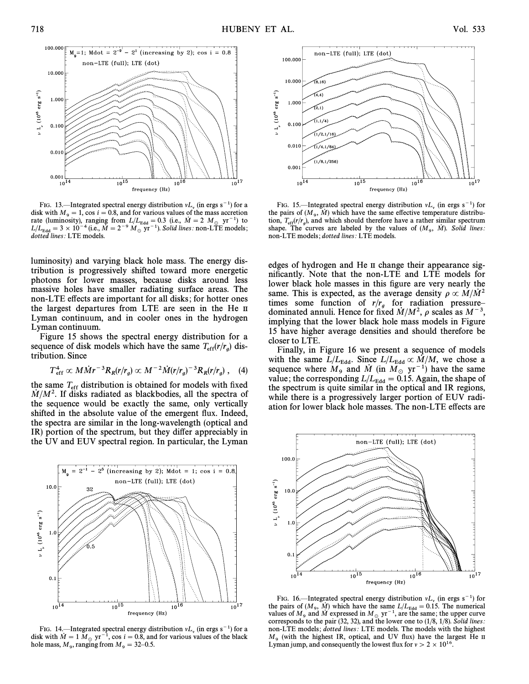

FIG. 13.—Integrated spectral energy distribution  $vL_v$  (in ergs s<sup>-1</sup>) for a disk with  $M_9 = 1$ , cos  $i = 0.8$ , and for various values of the mass accretion rate (luminosity) ranging from  $I/I = 0.3$  (i.e.  $\dot{M} = 2$   $M$  rate (luminosity), ranging from  $L/L_{\text{Edd}} = 0.3$  (i.e.,  $\dot{M} = 2 M_{\odot} \text{ yr}^{-1}$ ) to  $L/L_{\text{Edd}} = 3 \times 10^{-4}$  (i.e.,  $\dot{M} = 2^{-9} M_{\odot} \text{ yr}^{-1}$ ). Solid lines: non-LTE models; dotted lines: LTE models.

luminosity) and varying black hole mass. The energy distribution is progressively shifted toward more energetic photons for lower masses, because disks around less massive holes have smaller radiating surface areas. The non-LTE effects are important for all disks; for hotter ones the largest departures from LTE are seen in the He II Lyman continuum, and in cooler ones in the hydrogen Lyman continuum.

Figure 15 shows the spectral energy distribution for a sequence of disk models which have the same  $T_{\text{eff}}(r/r_g)$  distribution. tribution. Since

$$
T_{\rm eff}^4 \propto M\dot{M}r^{-3}R_R(r/r_g) \propto M^{-2}\dot{M}(r/r_g)^{-3}R_R(r/r_g) , \quad (4)
$$

the same  $T_{\text{eff}}$  distribution is obtained for models with fixed  $\dot{M}/M^2$ . If disks radiated as blackbodies, all the spectra of the sequence would be exactly the same, only vertically shifted in the absolute value of the emergent Ñux. Indeed, the spectra are similar in the long-wavelength (optical and IR) portion of the spectrum, but they differ appreciably in the UV and EUV spectral region. In particular, the Lyman



FIG. 14. <sup>I</sup>Integrated spectral energy distribution  $vL_v$  (in ergs s<sup>-1</sup>) for a disk with  $\dot{M} = 1 M_{\odot}$  yr<sup>-1</sup>, cos *i* = 0.8, and for various values of the black , ranging from  $M_9 = 32 - 0.5$ .



FIG. 15.—Integrated spectral energy distribution  $vL_v$  (in ergs s<sup>-1</sup>) for the pairs of  $(M_9, \dot{M})$  which have the same effective temperature distribution  $T_v(r/v_0)$  and which should therefore have a rather similar spectru tion,  $T_{\text{eff}}(r/r_g)$ , and which should therefore have a rather similar spectrum<br>shape. The curves are labeled by the values of  $(M - \dot{M})$ . Solid lines: shape. The curves are labeled by the values of  $(M_9, M)$ . Solid lines:<br>shape. The curves are labeled by the values of  $(M_9, M)$ . Solid lines: non-LTE models ; dotted lines: LTE models.

edges of hydrogen and He II change their appearance significantly. Note that the non-LTE and LTE models for lower black hole masses in this figure are very nearly the same. This is expected, as the average density  $\rho \propto M/M^2$ times some function of  $r/r_g$  for radiation pressure-<br>dominated annuli. Hence for fixed  $\dot{M}/M^2$ ,  $\rho$  scales as  $M^{-3}$ , implying that the lower black hole mass models in Figure 15 have higher average densities and should therefore be closer to LTE.

Finally, in Figure 16 we present a sequence of models with the same  $L / L_{\text{Edd}}$ . Since  $L / L_{\text{Edd}} \propto \dot{M} / M$ , we chose a sequence where  $M_9$  and  $\dot{M}$  (in  $M_\odot$  yr<sup>-1</sup>) have the same value; the corresponding  $L / L_{\text{Edd}} = 0.15$ . Again, the shape of the spectrum is quite similar in the optical and IR regions, while there is a progressively larger portion of EUV radiation for lower black hole masses. The non-LTE effects are



FIG. 16.—Integrated spectral energy distribution  $vL_v$  (in ergs s<sup>-1</sup>) for the pairs of  $(M_9, \dot{M})$  which have the same  $L/L_{\text{Edd}} = 0.15$ . The numerical values of  $M$  and  $\dot{M}$  expressed in  $M_v$   $yr^{-1}$  are the same; the values of  $M_9$  and  $\dot{M}$  expressed in  $M_{\odot}$  yr<sup>-1</sup>, are the same; the upper curve corresponds to the pair (32, 32), and the lower one to (1/8, 1/8). Solid lines: non-LTE models ; dotted lines: LTE models. The models with the highest  $M_9$  (with the highest IR, optical, and UV flux) have the largest He II Lyman jump, and consequently the lowest flux for  $v > 2 \times 10^{16}$ .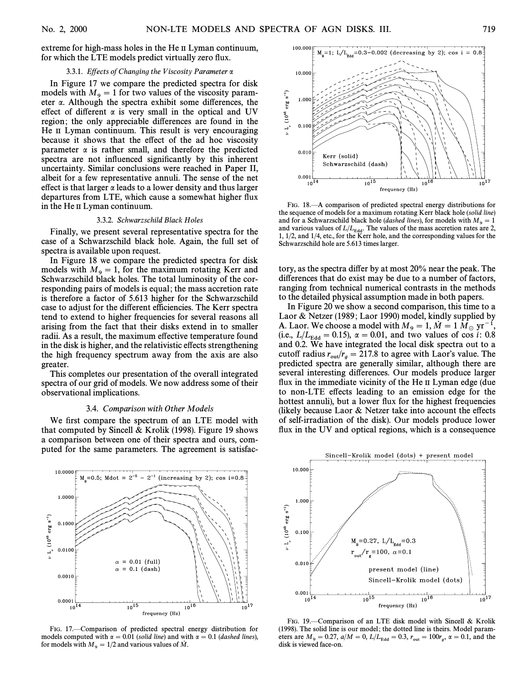extreme for high-mass holes in the He II Lyman continuum, for which the LTE models predict virtually zero flux.

### 3.3.1. Effects of Changing the Viscosity Parameter  $\alpha$

In Figure 17 we compare the predicted spectra for disk models with  $M<sub>9</sub> = 1$  for two values of the viscosity parameter  $\alpha$ . Although the spectra exhibit some differences, the effect of different  $\alpha$  is very small in the optical and UV region; the only appreciable differences are found in the He II Lyman continuum. This result is very encouraging because it shows that the effect of the ad hoc viscosity parameter  $\alpha$  is rather small, and therefore the predicted spectra are not influenced significantly by this inherent uncertainty. Similar conclusions were reached in Paper II, albeit for a few representative annuli. The sense of the net effect is that larger  $\alpha$  leads to a lower density and thus larger departures from LTE, which cause a somewhat higher flux in the He II Lyman continuum.

#### 3.3.2. Schwarzschild Black Holes

Finally, we present several representative spectra for the case of a Schwarzschild black hole. Again, the full set of spectra is available upon request.

In Figure 18 we compare the predicted spectra for disk models with  $M<sub>9</sub> = 1$ , for the maximum rotating Kerr and Schwarzschild black holes. The total luminosity of the corresponding pairs of models is equal; the mass accretion rate is therefore a factor of 5.613 higher for the Schwarzschild case to adjust for the different efficiencies. The Kerr spectra tend to extend to higher frequencies for several reasons all arising from the fact that their disks extend in to smaller radii. As a result, the maximum effective temperature found in the disk is higher, and the relativistic effects strengthening the high frequency spectrum away from the axis are also greater.

This completes our presentation of the overall integrated spectra of our grid of models. We now address some of their observational implications.

### 3.4. Comparison with Other Models

We first compare the spectrum of an LTE model with that computed by Sincell & Krolik (1998). Figure 19 shows a comparison between one of their spectra and ours, computed for the same parameters. The agreement is satisfac-



FIG. 17.—Comparison of predicted spectral energy distribution for models computed with  $\alpha = 0.01$  (solid line) and with  $\alpha = 0.1$  (dashed lines), for models with  $M_9 = 1/2$  and various values of  $\dot{M}$ .



FIG. 18.<sup>--</sup>A comparison of predicted spectral energy distributions for the sequence of models for a maximum rotating Kerr black hole (solid line) and for a Schwarzschild black hole (dashed lines), for models with  $M_9 = 1$ <br>and various values of  $I/I$ . The values of the mass accretion rates are 2 and various values of  $L/L_{\rm Edd}$  . The values of the mass accretion rates are 2, 1, 1/2, and 1/4, etc., for the Kerr hole, and the corresponding values for the Schwarzschild hole are 5.613 times larger.

tory, as the spectra di†er by at most 20% near the peak. The differences that do exist may be due to a number of factors, ranging from technical numerical contrasts in the methods to the detailed physical assumption made in both papers.

In Figure 20 we show a second comparison, this time to a Laor & Netzer (1989; Laor 1990) model, kindly supplied by A. Laor. We choose a model with  $M_9 = 1, \dot{M} = 1 M_{\odot} \, \text{yr}^{-1}$ (i.e.,  $L / L_{\rm Edd} = 0.15$ ),  $\alpha = 0.01$ , and two values of cos i: 0.8 and 0.2. We have integrated the local disk spectra out to a cutoff radius  $r_{\text{out}}/r_g = 217.8$  to agree with Laor's value. The redicted spectra are consulty similar although there are predicted spectra are generally similar, although there are several interesting differences. Our models produce larger flux in the immediate vicinity of the He II Lyman edge (due to non-LTE effects leading to an emission edge for the hottest annuli), but a lower flux for the highest frequencies (likely because Laor  $&$  Netzer take into account the effects of self-irradiation of the disk). Our models produce lower flux in the UV and optical regions, which is a consequence



FIG. 19.-Comparison of an LTE disk model with Sincell & Krolik (1998). The solid line is our model ; the dotted line is theirs. Model parameters are  $M_9 = 0.27$ ,  $a/M = 0$ ,  $L/L_{\text{Edd}} = 0.3$ ,  $r_{\text{out}} = 100r_g$ ,  $\alpha = 0.1$ , and the disk is viewed face on disk is viewed face-on.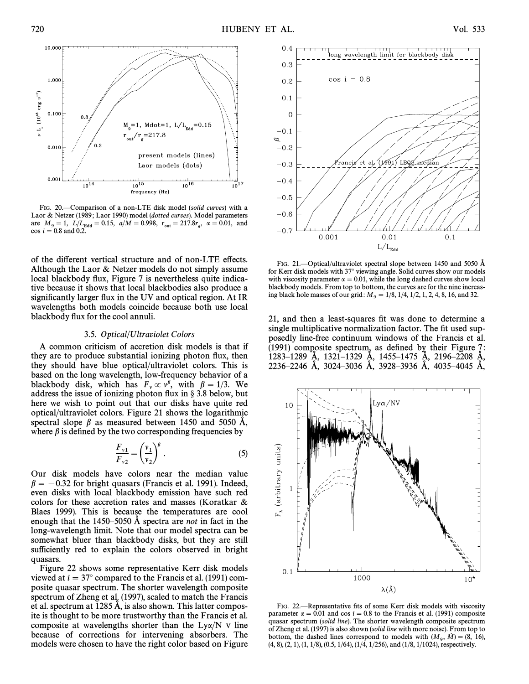

FIG. 20.—Comparison of a non-LTE disk model (solid curves) with a Laor & Netzer (1989; Laor 1990) model (dotted curves). Model parameters are  $M_{9} = 1$ ,  $L / L_{\text{Edd}} = 0.15$ ,  $a / M = 0.998$ ,  $r_{\text{out}} = 217.8r_{g}$ ,  $\alpha = 0.01$ , and  $\cos i = 0.8$  and  $0.2$  $\cos i = 0.8$  and 0.2.

of the different vertical structure and of non-LTE effects. Although the Laor & Netzer models do not simply assume local blackbody flux, Figure 7 is nevertheless quite indicative because it shows that local blackbodies also produce a significantly larger flux in the UV and optical region. At IR wavelengths both models coincide because both use local blackbody flux for the cool annuli.

#### 3.5. Optical/Ultraviolet Colors

A common criticism of accretion disk models is that if they are to produce substantial ionizing photon flux, then they should have blue optical/ultraviolet colors. This is based on the long wavelength, low-frequency behavior of a blackbody disk, which has  $F_v \propto v^{\beta}$ , with  $\beta = 1/3$ . We address the issue of ionizing photon flux in 8.3.8 below but address the issue of ionizing photon flux in  $\S 3.8$  below, but here we wish to point out that our disks have quite red optical/ultraviolet colors. Figure 21 shows the logarithmic spectral slope  $\beta$  as measured between 1450 and 5050 Å, where  $\beta$  is defined by the two corresponding frequencies by<br> $\frac{F_{v1}}{F} = \left(\frac{v_1}{v_1}\right)^{\beta}$ .

$$
\frac{F_{\nu_1}}{F_{\nu_2}} = \left(\frac{v_1}{v_2}\right)^{\beta}.
$$
 (5)

Our disk models have colors near the median value  $\beta = -0.32$  for bright quasars (Francis et al. 1991). Indeed, even disks with local blackbody emission have such red colors for these accretion rates and masses (Koratkar & Blaes 1999). This is because the temperatures are cool enough that the 1450–5050 Å spectra are *not* in fact in the long-wavelength limit. Note that our model spectra can be somewhat bluer than blackbody disks, but they are still sufficiently red to explain the colors observed in bright quasars.

Figure 22 shows some representative Kerr disk models viewed at  $i=37°$  compared to the Francis et al. (1991) composite quasar spectrum. The shorter wavelength composite spectrum of Zheng et al. (1997), scaled to match the Francis et al. spectrum at  $1285 \text{ Å}$ , is also shown. This latter composite is thought to be more trustworthy than the Francis et al. composite at wavelengths shorter than the  $Ly\alpha/N$  v line because of corrections for intervening absorbers. The models were chosen to have the right color based on Figure



FIG. 21.—Optical/ultraviolet spectral slope between 1450 and 5050 Å for Kerr disk models with  $37^\circ$  viewing angle. Solid curves show our models with viscosity parameter  $\alpha = 0.01$ , while the long dashed curves show local blackbody models. From top to bottom, the curves are for the nine increasing black hole masses of our grid:  $M_9 = 1/8$ ,  $1/4$ ,  $1/2$ ,  $1$ ,  $2$ ,  $4$ ,  $8$ ,  $16$ , and  $32$ .

21, and then a least-squares fit was done to determine a single multiplicative normalization factor. The fit used supposedly line-free continuum windows of the Francis et al. (1991) composite spectrum, as defined by their Figure  $7$ : 1283–1289 Å, 1321–1329 Å, 1455–1475 Å, 2196–2208 Å, 2236–2246 Å, 3024–3036 Å, 3928–3936 Å, 4035–4045 Å,



FIG. 22. Representative fits of some Kerr disk models with viscosity parameter  $\alpha = 0.01$  and cos  $i = 0.8$  to the Francis et al. (1991) composite quasar spectrum (solid line). The shorter wavelength composite spectrum of Zheng et al. (1997) is also shown (solid line with more noise). From top to bottom, the dashed lines correspond to models with  $(M_9, M) = (8, 16)$ ,<br>(4, 8), (2, 1), (1, 1/8), (0, 5, 1/64), (1/4, 1/256), and (1/8, 1/1024), respectively. (4, 8), (2, 1), (1, 1/8), (0.5, 1/64), (1/4, 1/256), and (1/8, 1/1024), respectively.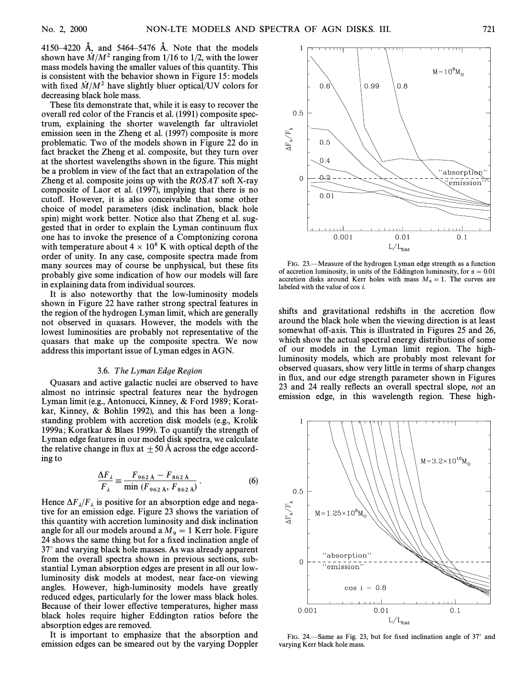4150–4220 Å, and 5464–5476 Å. Note that the models shown have  $\dot{M}/M^2$  ranging from 1/16 to 1/2, with the lower mass models having the smaller values of this quantity. This is consistent with the behavior shown in Figure 15: models with fixed  $\dot{M}/M^2$  have slightly bluer optical/UV colors for decreasing black hole mass.

These fits demonstrate that, while it is easy to recover the overall red color of the Francis et al. (1991) composite spectrum, explaining the shorter wavelength far ultraviolet emission seen in the Zheng et al. (1997) composite is more problematic. Two of the models shown in Figure 22 do in fact bracket the Zheng et al. composite, but they turn over at the shortest wavelengths shown in the figure. This might be a problem in view of the fact that an extrapolation of the Zheng et al. composite joins up with the ROSAT soft X-ray composite of Laor et al. (1997), implying that there is no cuto†. However, it is also conceivable that some other choice of model parameters (disk inclination, black hole spin) might work better. Notice also that Zheng et al. suggested that in order to explain the Lyman continuum flux one has to invoke the presence of a Comptonizing corona with temperature about  $4 \times 10^8$  K with optical depth of the order of unity. In any case, composite spectra made from many sources may of course be unphysical, but these fits probably give some indication of how our models will fare in explaining data from individual sources.

It is also noteworthy that the low-luminosity models shown in Figure 22 have rather strong spectral features in the region of the hydrogen Lyman limit, which are generally not observed in quasars. However, the models with the lowest luminosities are probably not representative of the quasars that make up the composite spectra. We now address this important issue of Lyman edges in AGN.

## 3.6. The Lyman Edge Region

Quasars and active galactic nuclei are observed to have almost no intrinsic spectral features near the hydrogen Lyman limit (e.g., Antonucci, Kinney, & Ford 1989 ; Koratkar, Kinney, & Bohlin 1992), and this has been a longstanding problem with accretion disk models (e.g., Krolik 1999a ; Koratkar & Blaes 1999). To quantify the strength of Lyman edge features in our model disk spectra, we calculate the relative change in flux at  $\pm 50$  Å across the edge according to

$$
\frac{\Delta F_{\lambda}}{F_{\lambda}} \equiv \frac{F_{962 \text{ A}} - F_{862 \text{ A}}}{\min (F_{962 \text{ A}}, F_{862 \text{ A}})}.
$$
(6)

Hence  $\Delta F_{\lambda}/F_{\lambda}$  is positive for an absorption edge and nega-<br>tive for an emission edge. Figure 23 shows the variation of this quantity with accretion luminosity and disk inclination angle for all our models around a  $M<sub>9</sub> = 1$  Kerr hole. Figure 24 shows the same thing but for a fixed inclination angle of  $37^\circ$  and varying black hole masses. As was already apparent from the overall spectra shown in previous sections, substantial Lyman absorption edges are present in all our lowluminosity disk models at modest, near face-on viewing angles. However, high-luminosity models have greatly reduced edges, particularly for the lower mass black holes. Because of their lower effective temperatures, higher mass black holes require higher Eddington ratios before the absorption edges are removed.

It is important to emphasize that the absorption and emission edges can be smeared out by the varying Doppler



FIG. 23.—Measure of the hydrogen Lyman edge strength as a function of accretion luminosity, in units of the Eddington luminosity, for  $\alpha = 0.01$ accretion disks around Kerr holes with mass  $M_9 = 1$ . The curves are labeled with the value of cos i labeled with the value of cos i.

shifts and gravitational redshifts in the accretion flow around the black hole when the viewing direction is at least somewhat off-axis. This is illustrated in Figures 25 and 26, which show the actual spectral energy distributions of some of our models in the Lyman limit region. The highluminosity models, which are probably most relevant for observed quasars, show very little in terms of sharp changes in flux, and our edge strength parameter shown in Figures 23 and 24 really reflects an overall spectral slope, not an emission edge, in this wavelength region. These high-



FIG. 24.—Same as Fig. 23, but for fixed inclination angle of  $37^\circ$  and varying Kerr black hole mass.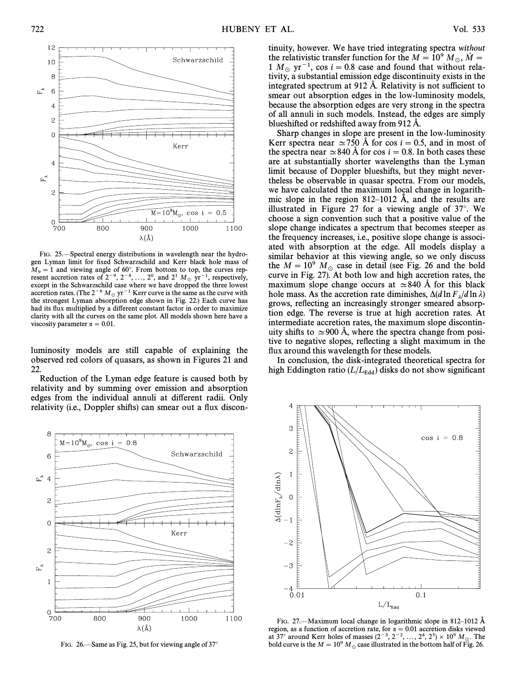

FIG. 25. Spectral energy distributions in wavelength near the hydrogen Lyman limit for fixed Schwarzschild and Kerr black hole mass of  $M_9 = 1$  and viewing angle of 60°. From bottom to top, the curves rep-<br>recent accretion rates of  $2^{-9}$ ,  $2^{-8}$  and  $2^{1}$  M  $_{\text{vir}}$  = 1, repressively resent accretion rates of  $2^{-9}$ ,  $2^{-8}$ , ...,  $2^{0}$ , and  $2^{1}$   $M_{\odot}$  yr<sup>-1</sup>, respectively, except in the Schwarzschild case where we have dropped the three lowest accretion rates. (The  $2^{-6} M_{\odot}$  yr<sup>-1</sup> Kerr curve is the same as the curve with the strongest Lyman absorption edge shown in Fig. 22.) Each curve has had its flux multiplied by a different constant factor in order to maximize clarity with all the curves on the same plot. All models shown here have a viscosity parameter  $\alpha = 0.01$ .

luminosity models are still capable of explaining the observed red colors of quasars, as shown in Figures 21 and 22.

Reduction of the Lyman edge feature is caused both by relativity and by summing over emission and absorption edges from the individual annuli at different radii. Only relativity (i.e., Doppler shifts) can smear out a flux discon-



FIG. 26.—Same as Fig. 25, but for viewing angle of  $37^\circ$ 

tinuity, however. We have tried integrating spectra *without* the relativistic transfer function for the  $M = 10^9 M_{\odot}$ ,  $\dot{M} =$ the relativistic transfer function for the  $M = 10^9$  M<sub>\op</sub>,  $\dot{M} = 1$ ,  $M_{\odot}$  yr<sup>-1</sup>, cos i = 0.8 case and found that without relativity  $1 M_{\odot}$  yr<sup>-1</sup>, cos  $i = 0.8$  case and found that without rela-<br>tivity a substantial emission edge discontinuity exists in the tivity, a substantial emission edge discontinuity exists in the integrated spectrum at 912 Å. Relativity is not sufficient to smear out absorption edges in the low-luminosity models, because the absorption edges are very strong in the spectra of all annuli in such models. Instead, the edges are simply blueshifted or redshifted away from 912 Å.

Sharp changes in slope are present in the low-luminosity Kerr spectra near  $\simeq$  750 Å for cos  $i=0.5$ , and in most of the spectra near  $\simeq$  840 Å for cos  $i=0.8$ . In both cases these are at substantially shorter wavelengths than the Lyman limit because of Doppler blueshifts, but they might nevertheless be observable in quasar spectra. From our models, we have calculated the maximum local change in logarithmic slope in the region 812–1012 Å, and the results are illustrated in Figure 27 for a viewing angle of  $37^\circ$ . We choose a sign convention such that a positive value of the slope change indicates a spectrum that becomes steeper as the frequency increases, i.e., positive slope change is associated with absorption at the edge. All models display a similar behavior at this viewing angle, so we only discuss the  $M = 10^9$   $M_\odot$  case in detail (see Fig. 26 and the bold curve in Fig. 27). At both low and high accretion rates, the maximum slope change occurs at  $\simeq$ 840 Å for this black hole mass. As the accretion rate diminishes,  $\Delta(d \ln F) / d \ln \lambda$ <br>grows, reflecting an increasingly stronger smeared absorpgrows, reflecting an increasingly stronger smeared absorption edge. The reverse is true at high accretion rates. At intermediate accretion rates, the maximum slope discontinuity shifts to  $\simeq$  900 Å, where the spectra change from positive to negative slopes, reflecting a slight maximum in the flux around this wavelength for these models.

In conclusion, the disk-integrated theoretical spectra for high Eddington ratio  $(L / L_{\rm Edd})$  disks do not show significant



FIG. 27.—Maximum local change in logarithmic slope in 812–1012  $\AA$ region, as a function of accretion rate, for  $\alpha = 0.01$  accretion disks viewed at 37° around Kerr holes of masses  $(2^{-3}, 2^{-2}, ..., 2^{4}, 2^{5}) \times 10^{9} M_{\odot}$ . The bold curve is the  $M = 10^9$  M<sub>o</sub> case illustrated in the bottom half of Fig. 26.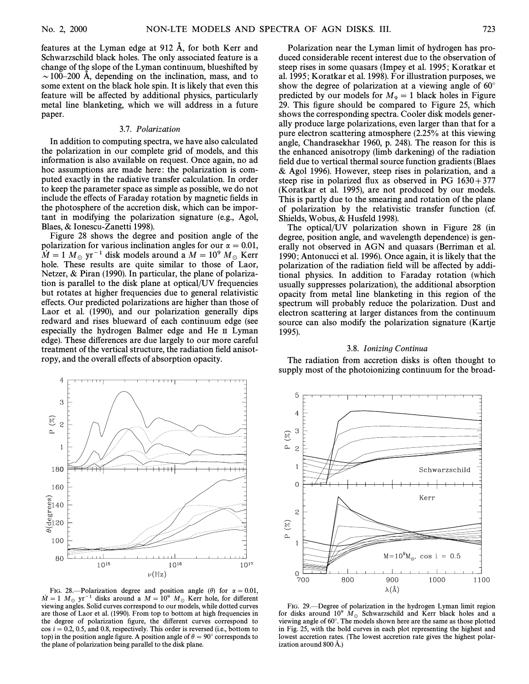features at the Lyman edge at  $912$  Å, for both Kerr and Schwarzschild black holes. The only associated feature is a change of the slope of the Lyman continuum, blueshifted by  $\sim$  100–200 Å, depending on the inclination, mass, and to some extent on the black hole spin. It is likely that even this feature will be affected by additional physics, particularly metal line blanketing, which we will address in a future paper.

#### 3.7. Polarization

In addition to computing spectra, we have also calculated the polarization in our complete grid of models, and this information is also available on request. Once again, no ad hoc assumptions are made here: the polarization is computed exactly in the radiative transfer calculation. In order to keep the parameter space as simple as possible, we do not include the effects of Faraday rotation by magnetic fields in the photosphere of the accretion disk, which can be important in modifying the polarization signature (e.g., Agol, Blaes, & Ionescu-Zanetti 1998).

Figure 28 shows the degree and position angle of the polarization for various inclination angles for our  $\alpha = 0.01$ ,  $\dot{M} = 1 M_\odot \text{ yr}^{-1}$  disk models around a  $M = 10^9 M_\odot$  Kerr hole. These results are quite similar to those of Laor, Netzer, & Piran (1990). In particular, the plane of polarization is parallel to the disk plane at optical/UV frequencies but rotates at higher frequencies due to general relativistic effects. Our predicted polarizations are higher than those of Laor et al. (1990), and our polarization generally dips redward and rises blueward of each continuum edge (see especially the hydrogen Balmer edge and He II Lyman edge). These differences are due largely to our more careful treatment of the vertical structure, the radiation field anisotropy, and the overall effects of absorption opacity.



FIG. 28.—Polarization degree and position angle ( $\theta$ ) for  $\alpha = 0.01$ ,  $\dot{M} = 1$  M<sub>\oppo</sub> yr<sup>-1</sup> disks around a  $M = 10^9$  M<sub>\oppo</sub> Kerr hole, for different viewing angles. Solid curves correspond to our models, while dotted curves are those of Laor et al. (1990). From top to bottom at high frequencies in the degree of polarization figure, the different curves correspond to  $\cos i = 0.2, 0.5,$  and 0.8, respectively. This order is reversed (i.e., bottom to top) in the position angle figure. A position angle of  $\theta = 90°$  corresponds to the plane of polarization being parallel to the disk plane.

Polarization near the Lyman limit of hydrogen has produced considerable recent interest due to the observation of steep rises in some quasars (Impey et al. 1995 ; Koratkar et al. 1995 ; Koratkar et al. 1998). For illustration purposes, we show the degree of polarization at a viewing angle of  $60^\circ$ predicted by our models for  $M_9 = 1$  black holes in Figure 29. This figure should be compared to Figure 25, which shows the corresponding spectra. Cooler disk models generally produce large polarizations, even larger than that for a pure electron scattering atmosphere (2.25% at this viewing angle, Chandrasekhar 1960, p. 248). The reason for this is the enhanced anisotropy (limb darkening) of the radiation field due to vertical thermal source function gradients (Blaes & Agol 1996). However, steep rises in polarization, and a steep rise in polarized flux as observed in PG  $1630+377$ (Koratkar et al. 1995), are not produced by our models. This is partly due to the smearing and rotation of the plane of polarization by the relativistic transfer function (cf. Shields, Wobus, & Husfeld 1998).

The optical/UV polarization shown in Figure 28 (in degree, position angle, and wavelength dependence) is generally not observed in AGN and quasars (Berriman et al. 1990; Antonucci et al. 1996). Once again, it is likely that the polarization of the radiation field will be affected by additional physics. In addition to Faraday rotation (which usually suppresses polarization), the additional absorption opacity from metal line blanketing in this region of the spectrum will probably reduce the polarization. Dust and electron scattering at larger distances from the continuum source can also modify the polarization signature (Kartje 1995).

#### 3.8. Ionizing Continua

The radiation from accretion disks is often thought to supply most of the photoionizing continuum for the broad-



FIG. 29.—Degree of polarization in the hydrogen Lyman limit region for disks around 10<sup>9</sup>  $\hat{M}_{\odot}$  Schwarzschild and Kerr black holes and a viewing angle of 60°. The models shown here are the same as those plotted in Fig. 25, with the bold curves in each plot representing the highest and lowest accretion rates. (The lowest accretion rate gives the highest polarization around  $800 \,\text{\AA}$ .)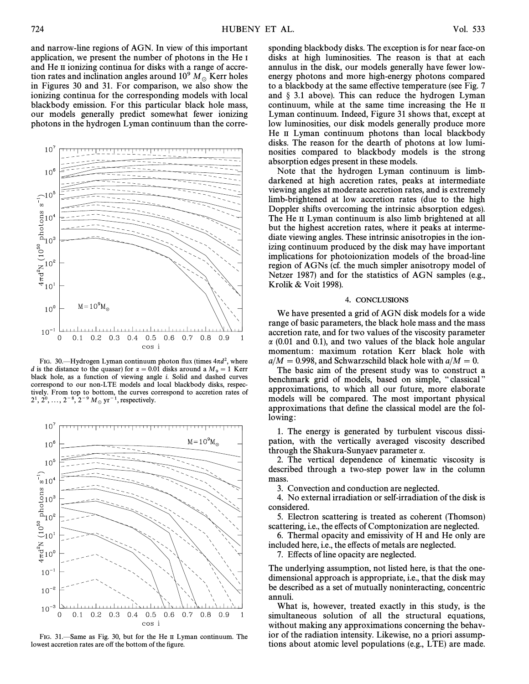and narrow-line regions of AGN. In view of this important application, we present the number of photons in the He I and He II ionizing continua for disks with a range of accretion rates and inclination angles around  $10^9 M_{\odot}$  Kerr holes in Figures 30 and 31. For comparison, we also show the ionizing continua for the corresponding models with local blackbody emission. For this particular black hole mass, our models generally predict somewhat fewer ionizing photons in the hydrogen Lyman continuum than the corre-



FIG. 30.—Hydrogen Lyman continuum photon flux (times  $4\pi d^2$ , where d is the distance to the quasar) for  $\alpha = 0.01$  disks around a  $M_9 = 1$  Kerr Meck hole as a function of viewing angle i. Solid and dashed curves black hole, as a function of viewing angle i. Solid and dashed curves correspond to our non-LTE models and local blackbody disks, respectively. From top to bottom, the curves correspond to accretion rates of  $2^1, 2^0, ..., 2^{-8}, 2^{-9} M_{\odot} \text{ yr}^{-1}$ , respectively.



FIG. 31.—Same as Fig. 30, but for the He II Lyman continuum. The lowest accretion rates are off the bottom of the figure.

sponding blackbody disks. The exception is for near face-on disks at high luminosities. The reason is that at each annulus in the disk, our models generally have fewer lowenergy photons and more high-energy photons compared to a blackbody at the same effective temperature (see Fig. 7) and  $§$  3.1 above). This can reduce the hydrogen Lyman continuum, while at the same time increasing the He II Lyman continuum. Indeed, Figure 31 shows that, except at low luminosities, our disk models generally produce more He II Lyman continuum photons than local blackbody disks. The reason for the dearth of photons at low luminosities compared to blackbody models is the strong absorption edges present in these models.

Note that the hydrogen Lyman continuum is limbdarkened at high accretion rates, peaks at intermediate viewing angles at moderate accretion rates, and is extremely limb-brightened at low accretion rates (due to the high Doppler shifts overcoming the intrinsic absorption edges). The He II Lyman continuum is also limb brightened at all but the highest accretion rates, where it peaks at intermediate viewing angles. These intrinsic anisotropies in the ionizing continuum produced by the disk may have important implications for photoionization models of the broad-line region of AGNs (cf. the much simpler anisotropy model of Netzer 1987) and for the statistics of AGN samples (e.g., Krolik & Voit 1998).

### 4. CONCLUSIONS

We have presented a grid of AGN disk models for a wide range of basic parameters, the black hole mass and the mass accretion rate, and for two values of the viscosity parameter  $\alpha$  (0.01 and 0.1), and two values of the black hole angular momentum: maximum rotation Kerr black hole with  $a/M = 0.998$ , and Schwarzschild black hole with  $a/M = 0$ .

The basic aim of the present study was to construct a benchmark grid of models, based on simple, "classical" approximations, to which all our future, more elaborate models will be compared. The most important physical approximations that define the classical model are the following:

1. The energy is generated by turbulent viscous dissipation, with the vertically averaged viscosity described through the Shakura-Sunyaev parameter  $\alpha$ .

2. The vertical dependence of kinematic viscosity is described through a two-step power law in the column mass.

3. Convection and conduction are neglected.

4. No external irradiation or self-irradiation of the disk is considered.

5. Electron scattering is treated as coherent (Thomson) scattering, i.e., the effects of Comptonization are neglected.

6. Thermal opacity and emissivity of H and He only are included here, i.e., the effects of metals are neglected.

7. Effects of line opacity are neglected.

The underlying assumption, not listed here, is that the onedimensional approach is appropriate, i.e., that the disk may be described as a set of mutually noninteracting, concentric annuli.

What is, however, treated exactly in this study, is the simultaneous solution of all the structural equations, without making any approximations concerning the behavior of the radiation intensity. Likewise, no a priori assumptions about atomic level populations (e.g., LTE) are made.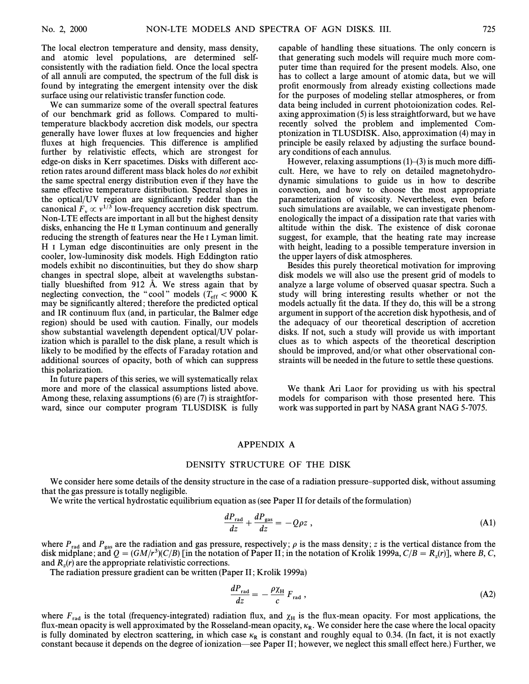The local electron temperature and density, mass density, and atomic level populations, are determined selfconsistently with the radiation field. Once the local spectra of all annuli are computed, the spectrum of the full disk is found by integrating the emergent intensity over the disk surface using our relativistic transfer function code.

We can summarize some of the overall spectral features of our benchmark grid as follows. Compared to multitemperature blackbody accretion disk models, our spectra generally have lower fluxes at low frequencies and higher fluxes at high frequencies. This difference is amplified further by relativistic effects, which are strongest for edge-on disks in Kerr spacetimes. Disks with different accretion rates around different mass black holes do not exhibit the same spectral energy distribution even if they have the same effective temperature distribution. Spectral slopes in the optical/UV region are significantly redder than the canonical  $F_v \propto v^{1/3}$  low-frequency accretion disk spectrum.<br>Non-LTE effects are important in all but the highest density Non-LTE effects are important in all but the highest density disks, enhancing the He II Lyman continuum and generally reducing the strength of features near the He I Lyman limit. H I Lyman edge discontinuities are only present in the cooler, low-luminosity disk models. High Eddington ratio models exhibit no discontinuities, but they do show sharp changes in spectral slope, albeit at wavelengths substantially blueshifted from  $912$  Å. We stress again that by neglecting convection, the "cool" models  $(T_{\text{eff}} < 9000 \text{ K})$ <br>may be significantly altered; therefore the predicted optical may be significantly altered; therefore the predicted optical and IR continuum flux (and, in particular, the Balmer edge region) should be used with caution. Finally, our models show substantial wavelength dependent optical/UV polarization which is parallel to the disk plane, a result which is likely to be modified by the effects of Faraday rotation and additional sources of opacity, both of which can suppress this polarization.

In future papers of this series, we will systematically relax more and more of the classical assumptions listed above. Among these, relaxing assumptions (6) are (7) is straightforward, since our computer program TLUSDISK is fully capable of handling these situations. The only concern is that generating such models will require much more computer time than required for the present models. Also, one has to collect a large amount of atomic data, but we will profit enormously from already existing collections made for the purposes of modeling stellar atmospheres, or from data being included in current photoionization codes. Relaxing approximation (5) is less straightforward, but we have recently solved the problem and implemented Comptonization in TLUSDISK. Also, approximation (4) may in principle be easily relaxed by adjusting the surface boundary conditions of each annulus.

However, relaxing assumptions  $(1)$ – $(3)$  is much more difficult. Here, we have to rely on detailed magnetohydrodynamic simulations to guide us in how to describe convection, and how to choose the most appropriate parameterization of viscosity. Nevertheless, even before such simulations are available, we can investigate phenomenologically the impact of a dissipation rate that varies with altitude within the disk. The existence of disk coronae suggest, for example, that the heating rate may increase with height, leading to a possible temperature inversion in the upper layers of disk atmospheres.

Besides this purely theoretical motivation for improving disk models we will also use the present grid of models to analyze a large volume of observed quasar spectra. Such a study will bring interesting results whether or not the models actually fit the data. If they do, this will be a strong argument in support of the accretion disk hypothesis, and of the adequacy of our theoretical description of accretion disks. If not, such a study will provide us with important clues as to which aspects of the theoretical description should be improved, and/or what other observational constraints will be needed in the future to settle these questions.

We thank Ari Laor for providing us with his spectral models for comparison with those presented here. This work was supported in part by NASA grant NAG 5-7075.

# APPENDIX A

### DENSITY STRUCTURE OF THE DISK

We consider here some details of the density structure in the case of a radiation pressure-supported disk, without assuming that the gas pressure is totally negligible.

We write the vertical hydrostatic equilibrium equation as (see Paper II for details of the formulation)

$$
\frac{dP_{\text{rad}}}{dz} + \frac{dP_{\text{gas}}}{dz} = -Q\rho z \,,\tag{A1}
$$

where  $P_{rad}$  and  $P_{gas}$  are the radiation and gas pressure, respectively;  $\rho$  is the mass density; z is the vertical distance from the disk midplane; and  $Q = (GM/r^3)(C/B)$  [in the notation of Paper II; in the notation of Kro and  $R_z(r)$  are the appropriate relativistic corrections.<br>The radiation pressure gradiant can be written (Pa

The radiation pressure gradient can be written (Paper II; Krolik 1999a)

$$
\frac{dP_{\text{rad}}}{dz} = -\frac{\rho \chi_{\text{H}}}{c} F_{\text{rad}} \,, \tag{A2}
$$

where  $F_{rad}$  is the total (frequency-integrated) radiation flux, and  $\chi_H$  is the flux-mean opacity. For most applications, the Hux-mean opacity is well approximated by the Rosseland-mean opacity,  $\kappa_R$ . We consider here the case where the local opacity  $\kappa_R$ . is fully dominated by electron scattering, in which case  $\kappa_R$  is constant and roughly equal to 0.34. (In fact, it is not exactly constant because it depends on the degree of ionization—see Paper II; however, we neglect this small effect here.) Further, we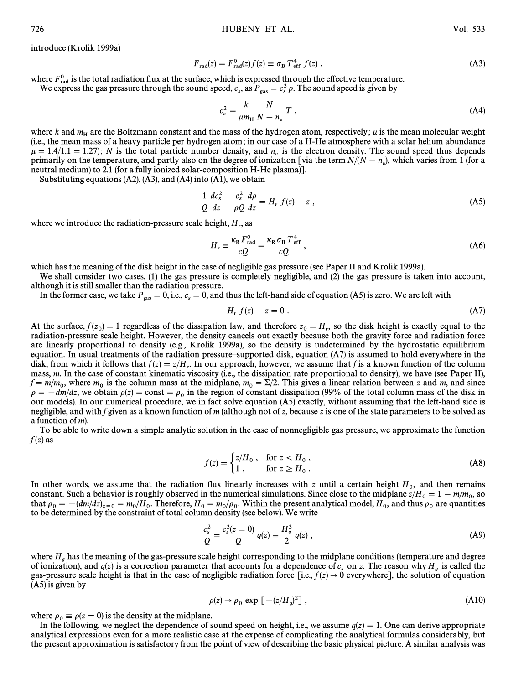introduce (Krolik 1999a)

$$
F_{\rm rad}(z) = F_{\rm rad}^0(z) f(z) \equiv \sigma_{\rm B} T_{\rm eff}^4 f(z) , \qquad (A3)
$$

where  $F_{\text{rad}}^0$  is the total radiation flux at the surface, which is expressed through the effective temperature.<br>We express the gas pressure through the sound speed,  $c_s$ , as  $P_{\text{gas}} = c_s^2 \rho$ . The sound speed is given

$$
c_s^2 = \frac{k}{\mu m_H} \frac{N}{N - n_e} T , \qquad (A4)
$$

where k and  $m_H$  are the Boltzmann constant and the mass of the hydrogen atom, respectively;  $\mu$  is the mean molecular weight (i.e., the mean mass of a heavy particle per hydrogen atom; in our case of a H-He atmosphere w  $\mu = 1.4/1.1 = 1.27$ ; N is the total particle number density, and  $n_e$  is the electron density. The sound speed thus depends  $\mu = 1.4/1.1 = 1.27$ , TV is the total particle number density, and  $n_e$  is the electron density. The sound speed thus depends<br>partial medium) to 2.1 (for a fully ionized solar-composition H-He plasma). neutral medium) to 2.1 (for a fully ionized solar-composition H-He plasma)].

Substituting equations  $(A2)$ ,  $(A3)$ , and  $(A4)$  into  $(A1)$ , we obtain

$$
\frac{1}{Q}\frac{dc_s^2}{dz} + \frac{c_s^2}{\rho Q}\frac{d\rho}{dz} = H_r f(z) - z \,,\tag{A5}
$$

where we introduce the radiation-pressure scale height,  $H_r$ , as

$$
H_r \equiv \frac{\kappa_R F_{\text{rad}}^0}{cQ} = \frac{\kappa_R \sigma_B T_{\text{eff}}^4}{cQ} \,,\tag{A6}
$$

which has the meaning of the disk height in the case of negligible gas pressure (see Paper II and Krolik 1999a).

We shall consider two cases, (1) the gas pressure is completely negligible, and (2) the gas pressure is taken into account, although it is still smaller than the radiation pressure.

In the former case, we take  $P_{\rm gas} = 0$ , i.e.,  $c_s = 0$ , and thus the left-hand side of equation (A5) is zero. We are left with

$$
H_r f(z) - z = 0.
$$
 (A7)

At the surface,  $f(z_0) = 1$  regardless of the dissipation law, and therefore  $z_0 = H_r$ , so the disk height is exactly equal to the redistion-pressure scale height. However, the density cancels out exactly because hoth the g radiation-pressure scale height. However, the density cancels out exactly because both the gravity force and radiation force are linearly proportional to density (e.g., Krolik 1999a), so the density is undetermined by the hydrostatic equilibrium equation. In usual treatments of the radiation pressure–supported disk, equation  $(A7)$  is assumed to hold everywhere in the disk, from which it follows that  $f(z) = z/H_r$ . In our approach, however, we assume that f is a known function of the column research is in the case of constant kinematic viscosity (i.e., the dissipation rate proportional to mass, m. In the case of constant kinematic viscosity (i.e., the dissipation rate proportional to density), we have (see Paper II),  $f = m/m_0$ , where  $m_0$  is the column mass at the midplane,  $m_0 = \Sigma/2$ . This gives a linear relation between z and m, and since  $g = -dm/dz$ , we obtain  $g(z) = \text{const} = g$ , in the region of constant dissinguishing (99% of the total c  $\rho = -dm/dz$ , we obtain  $\rho(z) = \text{const} = \rho_0$  in the region of constant dissipation (99% of the total column mass of the disk in our models). In our numerical procedure, we in fact solve equation (A5) exactly, without assuming that the left-hand side is negligible, and with f given as a known function of m (although not of z, because z is one of the state parameters to be solved as a function of m).

To be able to write down a simple analytic solution in the case of nonnegligible gas pressure, we approximate the function  $f(z)$  as

$$
f(z) = \begin{cases} z/H_0, & \text{for } z < H_0, \\ 1, & \text{for } z \ge H_0. \end{cases}
$$
 (A8)

In other words, we assume that the radiation flux linearly increases with z until a certain height  $H_0$ , and then remains constant Such a behavior is roughly observed in the numerical simulations. Since close to the midp constant. Such a behavior is roughly observed in the numerical simulations. Since close to the midplane  $z/H_0 = 1 - m/m_0$ , so that  $\alpha = -(dm/dz) = -m/H$ . Therefore  $H = m/a$ . Within the present analytical model  $H$  and thus  $\alpha$  are q that  $\rho_0 = -(dm/dz)_{z=0} = m_0/H_0$ . Therefore,  $H_0 = m_0/\rho_0$ . Within the present analytical model,  $H_0$ , and thus  $\rho_0$  are quantities to be determined by the constraint of total column density (see below). We write that  $p_0 = (am/a)/\frac{1}{2} = 0 - m_0/m_0$ . Therefore,  $n_0 = m_0/p_0$ . Written the present analytical model,  $n_0$ , and thus  $p_0$  to be determined by the constraint of total column density (see below). We write

$$
\frac{c_s^2}{Q} = \frac{c_s^2(z=0)}{Q} \ q(z) \equiv \frac{H_g^2}{2} \ q(z) \ , \tag{A9}
$$

where  $H_g$  has the meaning of the gas-pressure scale height corresponding to the midplane conditions (temperature and degree<br>of ionization), and  $q(z)$  is a correction parameter that accounts for a dependence of  $c_s$  on z. (A5) is given by

$$
\rho(z) \to \rho_0 \exp\left[-(z/H_g)^2\right],\tag{A10}
$$

where  $\rho_0 \equiv \rho(z=0)$  is the density at the midplane.<br>In the following we neglect the dependence of s

In the following, we neglect the dependence of sound speed on height, i.e., we assume  $q(z)=1$ . One can derive appropriate analytical expressions even for a more realistic case at the expense of complicating the analytical formulas considerably, but the present approximation is satisfactory from the point of view of describing the basic physical picture. A similar analysis was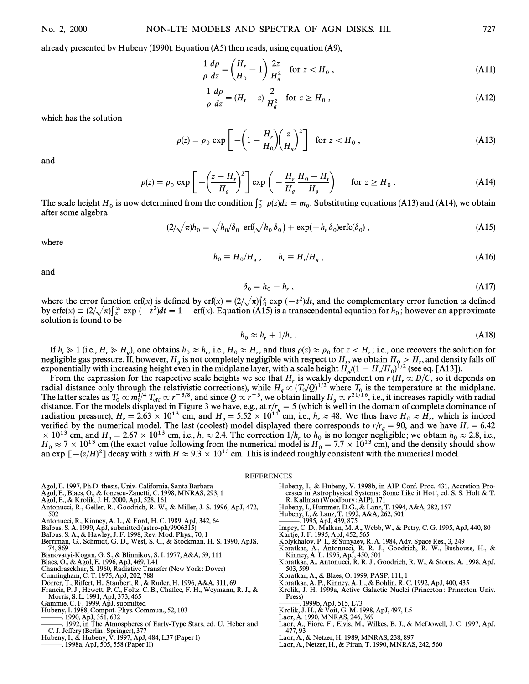already presented by Hubeny (1990). Equation (A5) then reads, using equation (A9),  
\n
$$
\frac{1}{\rho} \frac{d\rho}{dz} = \left(\frac{H_r}{H_0} - 1\right) \frac{2z}{H_g^2} \text{ for } z < H_0,
$$
\n(A11)

$$
\frac{1}{\rho} \frac{d\rho}{dz} = (H_r - z) \frac{2}{H_g^2} \quad \text{for } z \ge H_0 ,
$$
\n(A12)

which has the solution

$$
\rho(z) = \rho_0 \exp\left[-\left(1 - \frac{H_r}{H_0}\right)\left(\frac{z}{H_g}\right)^2\right] \quad \text{for } z < H_0 \,,\tag{A13}
$$

and

$$
\rho(z) = \rho_0 \exp\left[-\left(\frac{z - H_r}{H_g}\right)^2\right] \exp\left(-\frac{H_r}{H_g}\frac{H_0 - H_r}{H_g}\right) \quad \text{for } z \ge H_0.
$$
 (A14)

The scale height  $H_0$  is now determined from the condition  $\int_0^\infty \rho(z)dz = m_0$ . Substituting equations (A13) and (A14), we obtain after some algebra after some algebra

$$
(2/\sqrt{\pi})h_0 = \sqrt{h_0/\delta_0} \text{ erf}(\sqrt{h_0 \delta_0}) + \exp(-h_r \delta_0) \text{erfc}(\delta_0), \qquad (A15)
$$

where

$$
h_0 \equiv H_0/H_g \,, \qquad h_r \equiv H_r/H_g \,, \tag{A16}
$$

and

$$
\delta_0 = h_0 - h_r, \qquad (A17)
$$

where the error function erf(x) is defined by erf(x)  $\equiv (2/\sqrt{\pi})\frac{x}{\delta}$  exp  $(-t^2)dt$ , and the complementary error function is defined where the erform theories of  $\ln(x)$  is defined by  $\ln(x) = (2/\sqrt{n})_0^6$  exp (exp at an end complemental guide of host and proximate by exp ( $\ln(x) = (2/\sqrt{n})_0^6$  exp (exp and the experimental equation for  $h_0$ ; however an approx solution is found to be

$$
h_0 \approx h_r + 1/h_r \,. \tag{A18}
$$

If  $h_r \ge 1$  (i.e.,  $H_r \ge H_g$ ), one obtains  $h_0 \approx h_r$ , i.e.,  $H_0 \approx H_r$ , and thus  $\rho(z) \approx \rho_0$  for  $z < H_r$ ; i.e., one recovers the solution for gluidal as pressure if however H is not completely negligible with respect to H w regligible gas pressure. If, however,  $H_{g}$  is not completely negligible with respect to  $H_{g}$ , we obtain  $H_{0} \geq H_{r}$ , we obtain a regligible with respect to  $H_{r}$ , we obtain  $H_{0} \geq H_{r}$ , and density falls off expo exponentially with increasing height even in the midplane layer, with a scale height  $H_g/(1 - H_r/H_0)^{1/2}$  (see eq. [A13]).<br>From the expression for the respective scale heights we see that H is weakly dependent on  $r(H \propto D/G)$ 

From the expression for the respective scale heights we see that H, is weakly dependent on  $r(H_r \propto D/C)$ , so it depends on right of the relativistic corrections) while  $H \propto (T/O)^{1/2}$  where T is the temperature at the midpl radial distance only through the relativistic corrections), while  $H_g \propto (T_0/Q)^{1/2}$  where  $T_0$  is the temperature at the midplane.<br>The latter scales as  $T_0 \propto m_0^{1/4} T_{\text{eff}} \propto r^{-3/8}$ , and since  $Q \propto r^{-3}$ , we obtain f distance. For the models displayed in Figure 3 we have, e.g., at  $r/r_g = 5$  (which is well in the domain of complete dominance of radiation pressure)  $H = 2.63 \times 10^{13}$  cm, and  $H = 5.52 \times 10^{11}$  cm, i.e.,  $h \approx 48$ . We thus radiation pressure),  $H_r = 2.63 \times 10^{13}$  cm, and  $H_g = 5.52 \times 10^{11}$  cm, i.e.,  $h_r \approx 48$ . We thus have  $H_0 \approx H_r$ , which is indeed werified by the numerical model. The last (coolest) model displayed there corresponds to  $r$ verified by the numerical model. The last (coolest) model displayed there corresponds to  $r/r_g = 90$ , and we have  $H_r = 6.42 \times 10^{13}$  cm and  $H = 2.67 \times 10^{13}$  cm i.e.  $h \approx 2.4$  The correction  $1/h$  to h is no longer negligi  $\times$  10<sup>13</sup> cm, and  $H_g = 2.67 \times 10^{13}$  cm, i.e.,  $h_r \approx 2.4$ . The correction  $1/h_r$  to  $h_0$  is no longer negligible; we obtain  $h_0 \approx 2.8$ , i.e.,  $H_s \approx 7 \times 10^{13}$  cm (the exact value following from the numerical model is  $H_0 \approx 7 \times 10^{13}$  cm (the exact value following from the numerical model is  $H_0 = 7.7 \times 10^{13}$  cm), and the density should show an exp  $[-(z/H)^2]$  decay with z with  $H \approx 9.3 \times 10^{13}$  cm. This is indeed roughly consistent

## REFERENCES

- 
- 
- 
- Agol, E. 1997, Ph.D. thesis, Univ. California, Santa Barbara<br>Agol, E., Blaes, O., & Ionescu-Zanetti, C. 1998, MNRAS, 293, 1<br>Agol, E., & Krolik, J. H. 2000, ApJ, 528, 161<br>Antonucci, R., Geller, R., Goodrich, R. W., & Miller 502
- Antonucci, R., Kinney, A. L., & Ford, H. C. 1989, ApJ, 342, 64 Balbus, S. A. 1999, ApJ, submitted (astro-ph/9906315)
- 
- Balbus, S. A., & Hawley, J. F. 1998, Rev. Mod. Phys., 70, 1
- Berriman, G., Schmidt, G. D., West, S. C., & Stockman, H. S. 1990, ApJS, 74, 869
- Bisnovatyi-Kogan, G. S., & Blinnikov, S. I. 1977, A&A, 59, 111 Blaes, O., & Agol, E. 1996, ApJ, 469, L41 Chandrasekhar, S. 1960, Radiative Transfer (New York : Dover)
- 
- 
- Cunningham, C. T. 1975, ApJ, 202, 788
- Dorrer, T., Ri†ert, H., Staubert, R., & Ruder, H. 1996, A&A, 311, 69
- Francis, P. J., Hewett, P. C., Foltz, C. B., Cha†ee, F. H., Weymann, R. J., & Morris, S. L. 1991, ApJ, 373, 465 Gammie, C. F. 1999, ApJ, submitted
- 
- Hubeny, I. 1988, Comput. Phys. Commun., 52, 103
- $\dot{=}$  1990, ApJ, 351, 632 1992, in The Atmospheres of Early-Type Stars, ed. U. Heber and
- C. J. Jeffery (Berlin: Springer), 377<br>Hubeny, I., & Hubeny, V. 1997, ApJ, 484, L37 (Paper I)
- 
- $\sim$  1998a, ApJ, 505, 558 (Paper II)
- Hubeny, I., & Hubeny, V. 1998b, in AIP Conf. Proc. 431, Accretion Pro-cesses in Astrophysical Systems : Some Like it Hot!, ed. S. S. Holt & T. R. Kallman (Woodbury : AIP), 171 Hubeny, I., Hummer, D.G., & Lanz, T. 1994, A&A, 282, 157 Hubeny, I., & Lanz, T. 1992, A&A, 262, 501
- 
- 
- 
- ———. 1995, ApJ, 439, 875<br>Impey, C. D., Malkan, M. A., Webb, W., & Petry, C. G. 1995, ApJ, 440, 80
- Kartje, J. F. 1995, ApJ, 452, 565
- Kolykhalov, P. I., & Sunyaev, R. A. 1984, Adv. Space Res., 3, 249
- Koratkar, A., Antonucci, R. R. J., Goodrich, R. W., Bushouse, H., & Kinney, A. L. 1995, ApJ, 450, 501 Koratkar, A., Antonucci, R. R. J., Goodrich, R. W., & Storrs, A. 1998, ApJ,
- 503, 599
- Koratkar, A., & Blaes, O. 1999, PASP, 111, 1 Koratkar, A. P., Kinney, A. L., & Bohlin, R. C. 1992, ApJ, 400, 435
- Krolik, J. H. 1999a, Active Galactic Nuclei (Princeton : Princeton Univ. Press)
- ÈÈÈ. 1999b, ApJ, 515, L73
- Krolik, J. H., & Voit, G. M. 1998, ApJ, 497, L5 Laor, A. 1990, MNRAS, 246, 369
- 
- Laor, A., Fiore, F., Elvis, M., Wilkes, B. J., & McDowell, J. C. 1997, ApJ, 477, 93
- Laor, A., & Netzer, H. 1989, MNRAS, 238, 897
- Laor, A., Netzer, H., & Piran, T. 1990, MNRAS, 242, 560